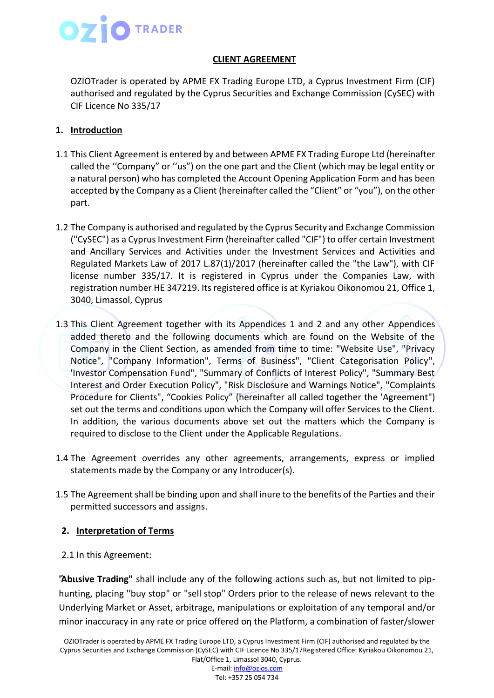

### **CLIENT AGREEMENT**

OZIOTrader is operated by APME FX Trading Europe LTD, a Cyprus Investment Firm (CIF) authorised and regulated by the Cyprus Securities and Exchange Commission (CySEC) with CIF Licence No 335/17

#### **1. Introduction**

- 1.1 This Client Agreement is entered by and between APME FX Trading Europe Ltd (hereinafter called the ''Company" or ''us") on the one part and the Client (which may be legal entity or a natural person) who has completed the Account Opening Application Form and has been accepted by the Company as a Client (hereinafter called the "Client" or "you"), on the other part.
- 1.2 The Company is authorised and regulated by the Cyprus Security and Exchange Commission ("CySEC") as a Cyprus Investment Firm (hereinafter called "CIF") to offer certain Investment and Ancillary Services and Activities under the Investment Services and Activities and Regulated Markets Law of 2017 L.87(1)/2017 (hereinafter called the "the Law"), with CIF license number 335/17. It is registered in Cyprus under the Companies Law, with registration number ΗΕ 347219. Its registered office is at Kyriakou Oikonomou 21, Office 1, 3040, Limassol, Cyprus
- 1.3 This Client Agreement together with its Appendices 1 and 2 and any other Appendices added thereto and the following documents which are found on the Website of the Company in the Client Section, as amended from time to time: "Website Use", "Privacy Notice", "Company Information", Terms of Business", "Client Categorisation Policy'', 'Investor Compensation Fund", "Summary of Conflicts of Interest Policy", "Summary Best Interest and Order Execution Policy", "Risk Disclosure and Warnings Notice", "Complaints Procedure for Clients", "Cookies Policy" (hereinafter all called together the 'Agreement") set out the terms and conditions upon which the Company will offer Services to the Client. In addition, the various documents above set out the matters which the Company is required to disclose to the Client under the Applicable Regulations.
- 1.4 The Agreement overrides any other agreements, arrangements, express or implied statements made by the Company or any Introducer(s).
- 1.5 The Agreement shall be binding upon and shall inure to the benefits of the Parties and their permitted successors and assigns.

#### **2. Interpretation of Terms**

2.1 In this Agreement:

**'Άbιιsive Trading"** shall include any of the following actions such as, but not limited to piphunting, placing ''buy stop" or "sell stop" Orders prior to the release of news relevant to the Underlying Market or Asset, arbitrage, manipulations οr exploitation of any temporal and/or minor inaccuracy in any rate or price offered οη the Platform, a combination of faster/slower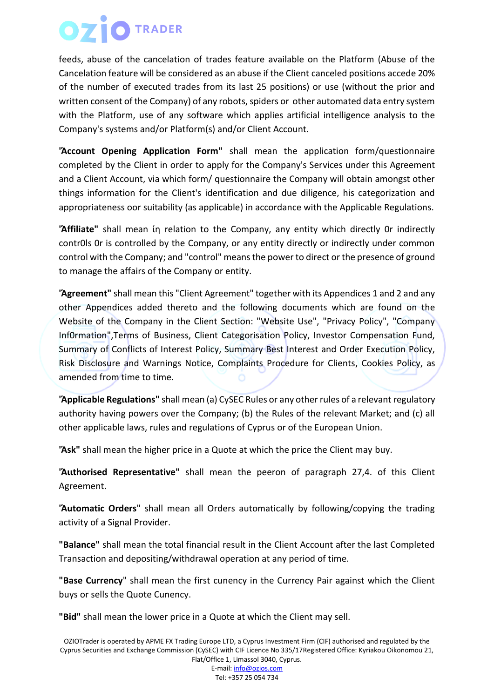feeds, abuse of the cancelation of trades feature available οn the Platform (Abuse of the Cancelation feature will be considered as an abuse if the Client canceled positions accede 20% of the number of executed trades from its last 25 positions) or use (without the prior and written consent of the Company) of any robots, spiders or other automated data entry system with the Platform, use of any software which applies artificial intelligence analysis to the Company's systems and/or Platform(s) and/or Client Account.

**'Άccοunt Opening Application Fοrm"** shall mean the application form/questionnaire completed by the Client in order to apply for the Company's Services under this Agreement and a Client Account, via which form/ questionnaire the Company will obtain amongst other things information fοr the Client's identification and due diligence, his categorization and appropriateness οor suitability (as applicable) in accordance with the Applicable Regulations.

**'Άffiliate"** shall mean ίη relation to the Company, any entity which directly 0r indirectly contr0ls 0r is controlled by the Company, or any entity directly or indirectly under common control with the Company; and "control" means the power to direct or the presence of ground to manage the affairs of the Company or entity.

**'Άgreement"** shall mean this "Client Agreement" together with its Appendices 1 and 2 and any other Appendices added thereto and the following documents which are found οn the Website of the Company in the Client Section: "Website Use", "Privacy Policy", "Company Inf0rmation",Terms of Business, Client Categorisation Policy, Investor Compensation Fund, Summary of Conflicts of Interest Policy, Summary Best Interest and Order Execution Policy, Risk Disclosure and Warnings Notice, Complaints Procedure for Clients, Cookies Policy, as amended from time to time.

**'Άpplicable Regιιlations"** shall mean (a) CySEC Rules or any other rules of a relevant regulatory authority having powers ονer the Company; (b) the Rules of the relevant Market; and (c) all other applicable laws, rules and regulations of Cyprus or of the European Union.

**'Άsk"** shall mean the higher price in a Quote at which the price the Client may buy.

**'Άιιthorised Representative"** shall mean the peeron of paragraph 27,4. of this Client Agreement.

**'Άutomatic Orders**" shall mean all Orders automatically by following/copying the trading activity of a Signal Provider.

**"Balance"** shall mean the total financial result in the Client Account after the last Completed Transaction and depositing/withdrawal operation at any period of time.

**"Base Currency**" shall mean the first cunency in the Currency Pair against which the Client buys or sells the Quote Cunency.

**"Bid"** shall mean the lower price in a Quote at which the Client may sell.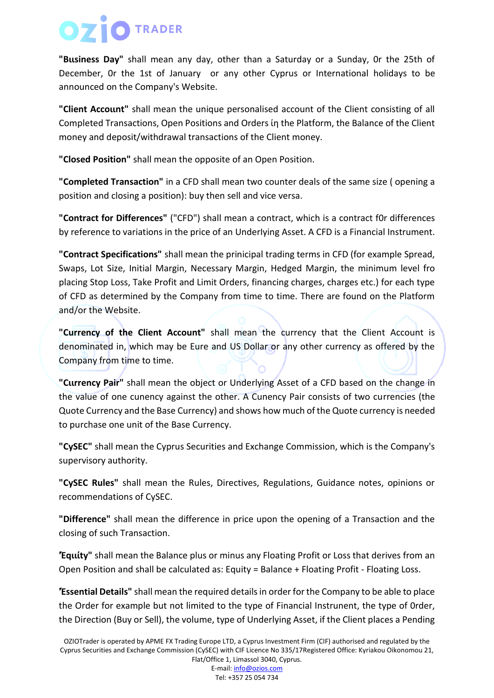**"Bιιsiness Day"** shall mean any day, other than a Saturday or a Sunday, 0r the 25th of December, 0r the 1st of January or any other Cyprus or International holidays to be announced on the Company's Website.

**"Client Accoιιnt"** shall mean the unique personalised account of the Client consisting of all Completed Transactions, Open Positions and Orders ίη the Platform, the Balance of the Client money and deposit/withdrawal transactions of the Client money.

**"Closed Position"** shall mean the opposite of an Open Position.

**"Completed Transaction"** in a CFD shall mean two counter deals of the same size ( opening a position and closing a position): buy then sell and vice versa.

**"Contract for Differences"** ("CFD") shall mean a contract, which is a contract f0r differences by reference to variations in the price of an UnderIying Asset. Α CFD is a Financial Instrument.

**"Contract Specifications"** shall mean the prinicipal trading terms in CFD (for example Spread, Swaps, Lot Size, Initial Margin, Necessary Margin, Hedged Margin, the minimum level fro placing Stop Loss, Take Profit and Limit Orders, financing charges, charges etc.) for each type of CFD as determined by the Company from time to time. There are found on the Platform and/or the Website.

**"Currency of the Client Account"** shall mean the currency that the Client Account is denominated in, which may be Eure and US Dollar or any other currency as offered by the Company from time to time.

**"Cιιrrency Ρair"** shall mean the object or Underlying Asset of a CFD based οn the change in the value of one cunency against the other. Α Cunency Pair consists of two currencies (the Quote Currency and the Base Currency) and shows how much of the Quote currency is needed to purchase one unit of the Base Currency.

**"CySEC"** shall mean the Cyprus Securities and Exchange Commission, which is the Company's supervisory authority.

**"CySEC Rules"** shall mean the Rules, Directives, Regulations, Guidance notes, opinions or recommendations of CySEC.

**"Difference"** shall mean the difference in price upon the opening of a Transaction and the closing of such Transaction.

**'Έqιιίty"** shall mean the Balance plus or minus any Floating Profit or Loss that derives from an Open Position and shall be calculated as: Equity = Balance + Floating Profit - Floating Loss.

**'Έssential Details"** shall mean the required details in order for the Company to be able to place the Order for example but not limited to the type of Financial Instrunent, the type of 0rder, the Direction (Buy or Sell), the volume, type of Underlying Asset, if the Client places a Pending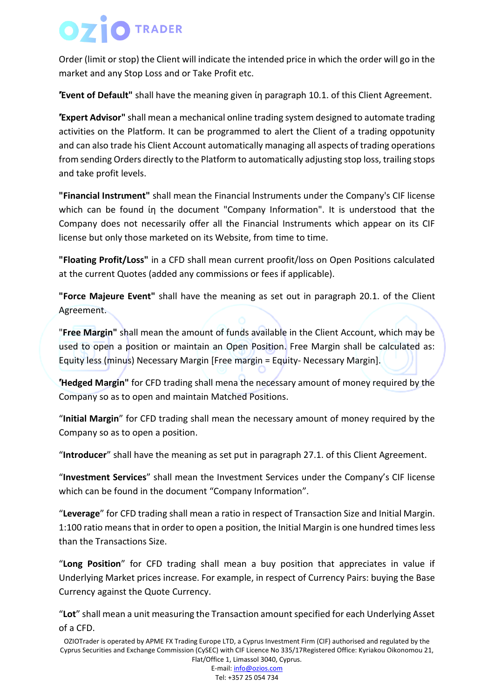Order (limit or stop) the Client will indicate the intended price in which the order will go in the market and any Stop Loss and or Take Profit etc.

**'Έvent of Defaιιlt"** shall have the meaning given ίη paragraph 10.1. of this Client Agreement.

**'Έxpert Advisor"** shall mean a mechanical online trading system designed to automate trading activities οn the Platform. It can be programmed to alert the Client of a trading oppotunity and can also trade his Client Account automatically managing all aspects of trading operations from sending Orders directly to the Platform to automatically adjusting stop loss, trailing stops and take profit levels.

**"Financial Instrιment"** shall mean the Financial lnstruments under the Company's CIF license which can be found ίη the document "Company Information". It is understood that the Company does not necessarily offer all the Financial Instruments which appear on its CIF license but only those marketed on its Website, from time to time.

**"Floating Profit/Loss"** in a CFD shall mean current proofit/loss on Open Positions calculated at the current Quotes (added any commissions or fees if applicable).

**"Force Majeure Event"** shall have the meaning as set out in paragraph 20.1. of the Client Agreement.

"**Free Margin"** shall mean the amount of funds available in the Client Account, which may be used to open a position or maintain an Open Position. Free Margin shall be calculated as: Equity less (minus) Necessary Margin [Free margin = Equity- Necessary Margin].

**'Ήedged Margin"** for CFD trading shall mena the necessary amount of money required by the Company so as to open and maintain Matched Positions.

"**Initial Margin**" for CFD trading shall mean the necessary amount of money required by the Company so as to open a position.

"**Introducer**" shall have the meaning as set put in paragraph 27.1. of this Client Agreement.

"**Investment Services**" shall mean the Investment Services under the Company's CIF license which can be found in the document "Company Information".

"**Leverage**" for CFD trading shall mean a ratio in respect of Transaction Size and Initial Margin. 1:100 ratio means that in order to open a position, the Initial Margin is one hundred times less than the Transactions Size.

"**Long Position**" for CFD trading shall mean a buy position that appreciates in value if Underlying Market prices increase. For example, in respect of Currency Pairs: buying the Base Currency against the Quote Currency.

"**Lot**" shall mean a unit measuring the Transaction amount specified for each Underlying Asset of a CFD.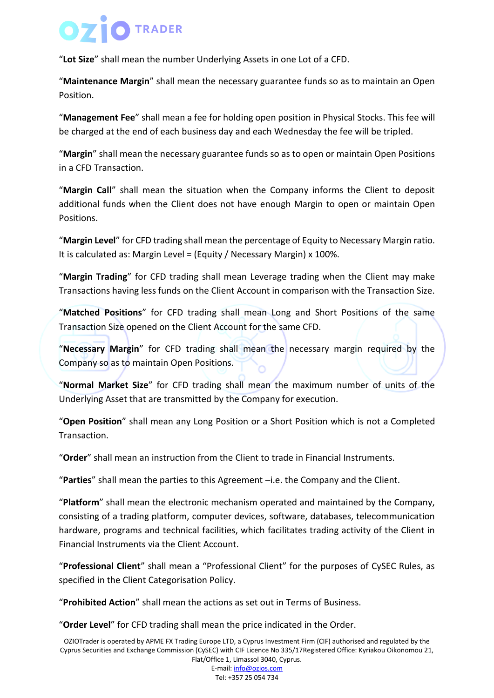"**Lot Size**" shall mean the number Underlying Assets in one Lot of a CFD.

"**Maintenance Margin**" shall mean the necessary guarantee funds so as to maintain an Open Position.

"**Management Fee**" shall mean a fee for holding open position in Physical Stocks. This fee will be charged at the end of each business day and each Wednesday the fee will be tripled.

"**Margin**" shall mean the necessary guarantee funds so as to open or maintain Open Positions in a CFD Transaction.

"**Margin Call**" shall mean the situation when the Company informs the Client to deposit additional funds when the Client does not have enough Margin to open or maintain Open Positions.

"**Маrgin Level**" for CFD trading shall mean the percentage of Equity to Necessary Margin ratio. It is calculated as: Margin Level = (Equity / Necessary Margin) x 100%.

"**Margin Trading**" for CFD trading shall mean Leverage trading when the Client may make Transactions having less funds on the Client Account in comparison with the Transaction Size.

"**Matched Positions**" for CFD trading shall mean Long and Short Positions of the same Transaction Size opened on the Client Account for the same CFD.

"**Necessary Margin**" for CFD trading shall mean the necessary margin required by the Company so as to maintain Open Positions.

"**Normal Market Size**" for CFD trading shall mean the maximum number of units of the Underlying Asset that are transmitted by the Company for execution.

"**Open Position**" shall mean any Long Position or a Short Position which is not a Completed Transaction.

"**Order**" shall mean an instruction from the Client to trade in Financial Instruments.

"**Parties**" shall mean the parties to this Agreement –i.e. the Company and the Client.

"**Platform**" shall mean the electronic mechanism operated and maintained by the Company, consisting of a trading platform, computer devices, software, databases, telecommunication hardware, programs and technical facilities, which facilitates trading activity of the Client in Financial Instruments via the Client Account.

"**Professional Client**" shall mean a "Professional Client" for the purposes of CySEC Rules, as specified in the Client Categorisation Policy.

"**Prohibited Action**" shall mean the actions as set out in Terms of Business.

"**Order Level**" for CFD trading shall mean the price indicated in the Order.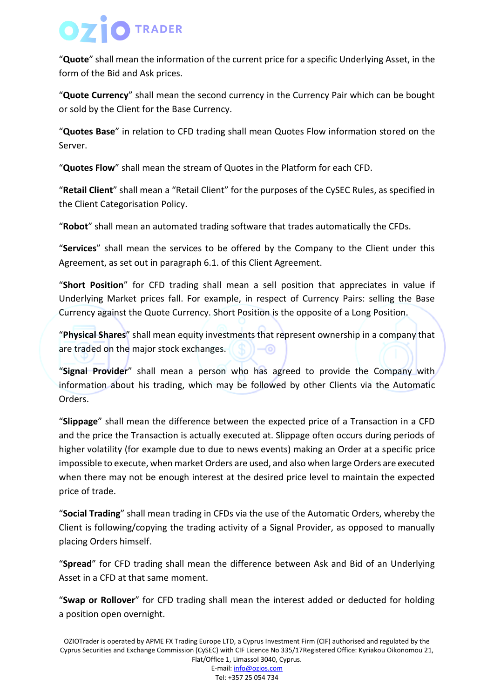## TRADER

"**Quote**" shall mean the information of the current price for a specific Underlying Asset, in the form of the Bid and Ask prices.

"**Quote Currency**" shall mean the second currency in the Currency Pair which can be bought or sold by the Client for the Base Currency.

"**Quotes Base**" in relation to CFD trading shall mean Quotes Flow information stored on the Server.

"**Quotes Flow**" shall mean the stream of Quotes in the Platform for each CFD.

"**Retail Client**" shall mean a "Retail Client" for the purposes of the CySEC Rules, as specified in the Client Categorisation Policy.

"**Robot**" shall mean an automated trading software that trades automatically the CFDs.

"**Services**" shall mean the services to be offered by the Company to the Client under this Agreement, as set out in paragraph 6.1. of this Client Agreement.

"**Short Position**" for CFD trading shall mean a sell position that appreciates in value if Underlying Market prices fall. For example, in respect of Currency Pairs: selling the Base Currency against the Quote Currency. Short Position is the opposite of a Long Position.

"**Physical Shares**" shall mean equity investments that represent ownership in a company that are traded on the major stock exchanges.

"**Signal Provider**" shall mean a person who has agreed to provide the Company with information about his trading, which may be followed by other Clients via the Automatic Orders.

"**Slippage**" shall mean the difference between the expected price of a Transaction in a CFD and the price the Transaction is actually executed at. Slippage often occurs during periods of higher volatility (for example due to due to news events) making an Order at a specific price impossible to execute, when market Orders are used, and also when large Orders are executed when there may not be enough interest at the desired price level to maintain the expected price of trade.

"**Social Trading**" shall mean trading in CFDs via the use of the Automatic Orders, whereby the Client is following/copying the trading activity of a Signal Provider, as opposed to manually placing Orders himself.

"**Spread**" for CFD trading shall mean the difference between Ask and Bid of an Underlying Asset in a CFD at that same moment.

"**Swap or Rollover**" for CFD trading shall mean the interest added or deducted for holding a position open overnight.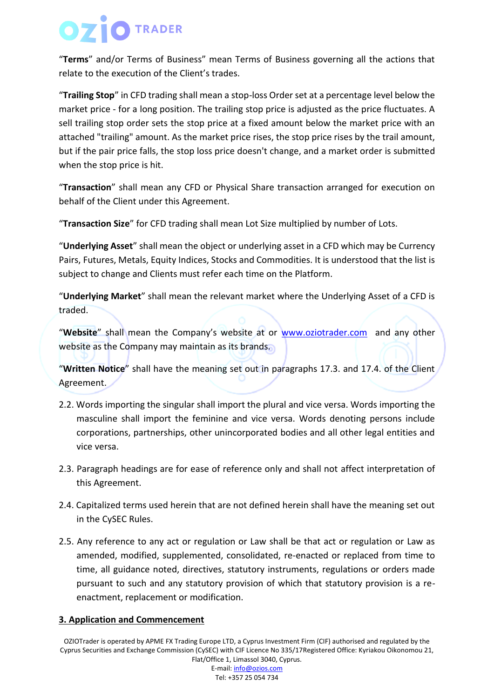"**Terms**" and/or Terms of Business" mean Terms of Business governing all the actions that relate to the execution of the Client's trades.

"**Trailing Stop**" in CFD trading shall mean a stop-loss Order set at a percentage level below the market price - for a long position. The trailing stop price is adjusted as the price fluctuates. A sell trailing stop order sets the stop price at a fixed amount below the market price with an attached "trailing" amount. As the market price rises, the stop price rises by the trail amount, but if the pair price falls, the stop loss price doesn't change, and a market order is submitted when the stop price is hit.

"**Transaction**" shall mean any CFD or Physical Share transaction arranged for execution on behalf of the Client under this Agreement.

"**Transaction Size**" for CFD trading shall mean Lot Size multiplied by number of Lots.

"**Underlying Asset**" shall mean the object or underlying asset in a CFD which may be Currency Pairs, Futures, Metals, Equity Indices, Stocks and Commodities. It is understood that the list is subject to change and Clients must refer each time on the Platform.

"**Underlying Market**" shall mean the relevant market where the Underlying Asset of a CFD is traded.

"**Website**" shall mean the Company's website at or www.oziotrader.com and any other website as the Company may maintain as its brands.

"**Written Notice**" shall have the meaning set out in paragraphs 17.3. and 17.4. of the Client Agreement.

- 2.2. Words importing the singular shall import the plural and vice versa. Words importing the masculine shall import the feminine and vice versa. Words denoting persons include corporations, partnerships, other unincorporated bodies and all other legal entities and vice versa.
- 2.3. Paragraph headings are for ease of reference only and shall not affect interpretation of this Agreement.
- 2.4. Capitalized terms used herein that are not defined herein shall have the meaning set out in the CySEC Rules.
- 2.5. Any reference to any act or regulation or Law shall be that act or regulation or Law as amended, modified, supplemented, consolidated, re-enacted or replaced from time to time, all guidance noted, directives, statutory instruments, regulations or orders made pursuant to such and any statutory provision of which that statutory provision is a reenactment, replacement or modification.

### **3. Application and Commencement**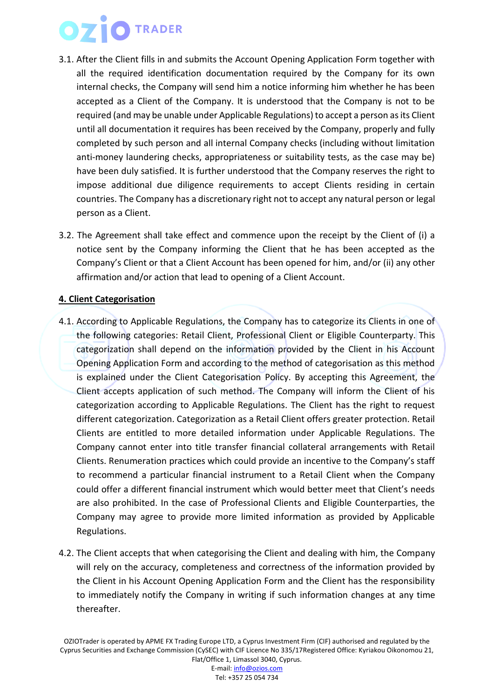- 3.1. After the Client fills in and submits the Account Opening Application Form together with all the required identification documentation required by the Company for its own internal checks, the Company will send him a notice informing him whether he has been accepted as a Client of the Company. It is understood that the Company is not to be required (and may be unable under Applicable Regulations) to accept a person as its Client until all documentation it requires has been received by the Company, properly and fully completed by such person and all internal Company checks (including without limitation anti-money laundering checks, appropriateness or suitability tests, as the case may be) have been duly satisfied. It is further understood that the Company reserves the right to impose additional due diligence requirements to accept Clients residing in certain countries. The Company has a discretionary right not to accept any natural person or legal person as a Client.
- 3.2. The Agreement shall take effect and commence upon the receipt by the Client of (i) a notice sent by the Company informing the Client that he has been accepted as the Company's Client or that a Client Account has been opened for him, and/or (ii) any other affirmation and/or action that lead to opening of a Client Account.

### **4. Client Categorisation**

- 4.1. According to Applicable Regulations, the Company has to categorize its Clients in one of the following categories: Retail Client, Professional Client or Eligible Counterparty. This categorization shall depend on the information provided by the Client in his Account Opening Application Form and according to the method of categorisation as this method is explained under the Client Categorisation Policy. By accepting this Agreement, the Client accepts application of such method. The Company will inform the Client of his categorization according to Applicable Regulations. The Client has the right to request different categorization. Categorization as a Retail Client offers greater protection. Retail Clients are entitled to more detailed information under Applicable Regulations. The Company cannot enter into title transfer financial collateral arrangements with Retail Clients. Renumeration practices which could provide an incentive to the Company's staff to recommend a particular financial instrument to a Retail Client when the Company could offer a different financial instrument which would better meet that Client's needs are also prohibited. In the case of Professional Clients and Eligible Counterparties, the Company may agree to provide more limited information as provided by Applicable Regulations.
- 4.2. The Client accepts that when categorising the Client and dealing with him, the Company will rely on the accuracy, completeness and correctness of the information provided by the Client in his Account Opening Application Form and the Client has the responsibility to immediately notify the Company in writing if such information changes at any time thereafter.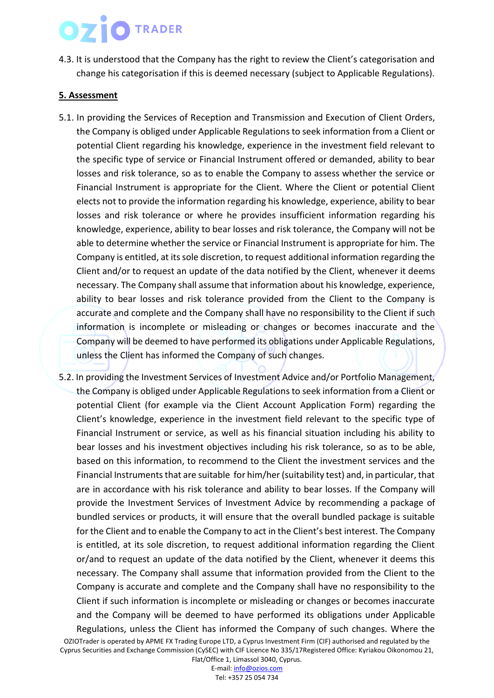4.3. It is understood that the Company has the right to review the Client's categorisation and change his categorisation if this is deemed necessary (subject to Applicable Regulations).

### **5. Assessment**

- 5.1. In providing the Services of Reception and Transmission and Execution of Client Orders, the Company is obliged under Applicable Regulations to seek information from a Client or potential Client regarding his knowledge, experience in the investment field relevant to the specific type of service or Financial Instrument offered or demanded, ability to bear losses and risk tolerance, so as to enable the Company to assess whether the service or Financial Instrument is appropriate for the Client. Where the Client or potential Client elects not to provide the information regarding his knowledge, experience, ability to bear losses and risk tolerance or where he provides insufficient information regarding his knowledge, experience, ability to bear losses and risk tolerance, the Company will not be able to determine whether the service or Financial Instrument is appropriate for him. The Company is entitled, at its sole discretion, to request additional information regarding the Client and/or to request an update of the data notified by the Client, whenever it deems necessary. The Company shall assume that information about his knowledge, experience, ability to bear losses and risk tolerance provided from the Client to the Company is accurate and complete and the Company shall have no responsibility to the Client if such information is incomplete or misleading or changes or becomes inaccurate and the Company will be deemed to have performed its obligations under Applicable Regulations, unless the Client has informed the Company of such changes.
- 5.2. In providing the Investment Services of Investment Advice and/or Portfolio Management, the Company is obliged under Applicable Regulations to seek information from a Client or potential Client (for example via the Client Account Application Form) regarding the Client's knowledge, experience in the investment field relevant to the specific type of Financial Instrument or service, as well as his financial situation including his ability to bear losses and his investment objectives including his risk tolerance, so as to be able, based on this information, to recommend to the Client the investment services and the Financial Instruments that are suitable for him/her (suitability test) and, in particular, that are in accordance with his risk tolerance and ability to bear losses. If the Company will provide the Investment Services of Investment Advice by recommending a package of bundled services or products, it will ensure that the overall bundled package is suitable for the Client and to enable the Company to act in the Client's best interest. The Company is entitled, at its sole discretion, to request additional information regarding the Client or/and to request an update of the data notified by the Client, whenever it deems this necessary. The Company shall assume that information provided from the Client to the Company is accurate and complete and the Company shall have no responsibility to the Client if such information is incomplete or misleading or changes or becomes inaccurate and the Company will be deemed to have performed its obligations under Applicable

OZIOTrader is operated by APME FX Trading Europe LTD, a Cyprus Investment Firm (CIF) authorised and regulated by the Cyprus Securities and Exchange Commission (CySEC) with CIF Licence No 335/17Registered Office: Kyriakou Oikonomou 21, Regulations, unless the Client has informed the Company of such changes. Where the

Flat/Office 1, Limassol 3040, Cyprus. E-mail: [info@ozios.com](mailto:info@ozios.com)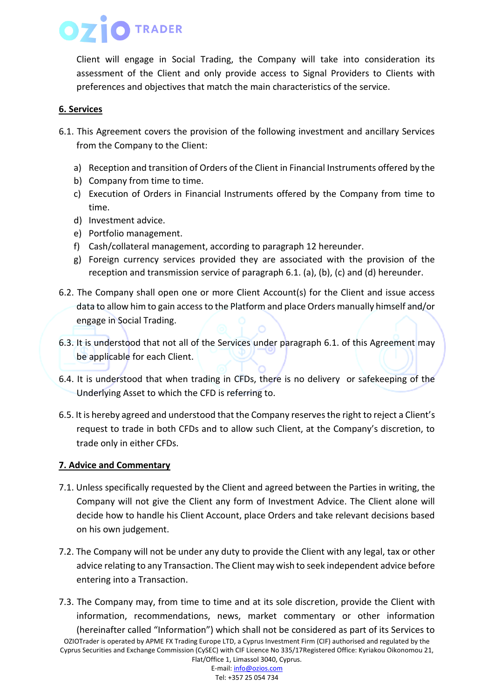Client will engage in Social Trading, the Company will take into consideration its assessment of the Client and only provide access to Signal Providers to Clients with preferences and objectives that match the main characteristics of the service.

### **6. Services**

- 6.1. This Agreement covers the provision of the following investment and ancillary Services from the Company to the Client:
	- a) Reception and transition of Orders of the Client in Financial Instruments offered by the
	- b) Company from time to time.
	- c) Execution of Orders in Financial Instruments offered by the Company from time to time.
	- d) Investment advice.
	- e) Portfolio management.
	- f) Cash/collateral management, according to paragraph 12 hereunder.
	- g) Foreign currency services provided they are associated with the provision of the reception and transmission service of paragraph 6.1. (a), (b), (c) and (d) hereunder.
- 6.2. The Company shall open one or more Client Account(s) for the Client and issue access data to allow him to gain access to the Platform and place Orders manually himself and/or engage in Social Trading.
- 6.3. It is understood that not all of the Services under paragraph 6.1. of this Agreement may be applicable for each Client.
- 6.4. It is understood that when trading in CFDs, there is no delivery or safekeeping of the Underlying Asset to which the CFD is referring to.
- 6.5. It is hereby agreed and understood that the Company reserves the right to reject a Client's request to trade in both CFDs and to allow such Client, at the Company's discretion, to trade only in either CFDs.

### **7. Advice and Commentary**

- 7.1. Unless specifically requested by the Client and agreed between the Parties in writing, the Company will not give the Client any form of Investment Advice. The Client alone will decide how to handle his Client Account, place Orders and take relevant decisions based on his own judgement.
- 7.2. The Company will not be under any duty to provide the Client with any legal, tax or other advice relating to any Transaction. The Client may wish to seek independent advice before entering into a Transaction.
- OZIOTrader is operated by APME FX Trading Europe LTD, a Cyprus Investment Firm (CIF) authorised and regulated by the Cyprus Securities and Exchange Commission (CySEC) with CIF Licence No 335/17Registered Office: Kyriakou Oikonomou 21, 7.3. The Company may, from time to time and at its sole discretion, provide the Client with information, recommendations, news, market commentary or other information (hereinafter called "Information") which shall not be considered as part of its Services to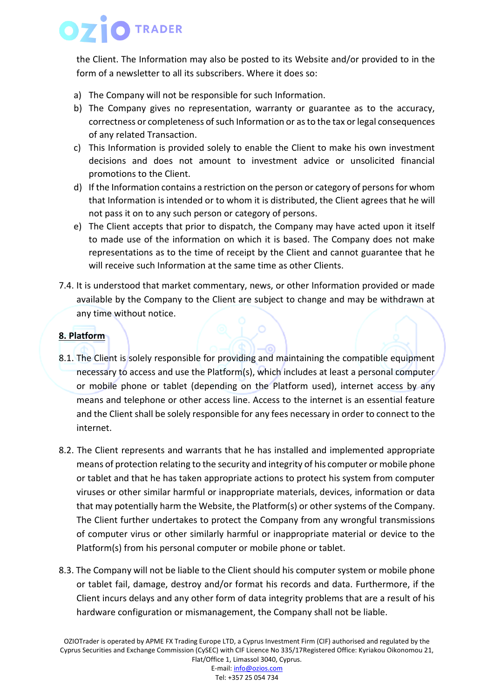the Client. The Information may also be posted to its Website and/or provided to in the form of a newsletter to all its subscribers. Where it does so:

- a) The Company will not be responsible for such Information.
- b) The Company gives no representation, warranty or guarantee as to the accuracy, correctness or completeness of such Information or as to the tax or legal consequences of any related Transaction.
- c) This Information is provided solely to enable the Client to make his own investment decisions and does not amount to investment advice or unsolicited financial promotions to the Client.
- d) If the Information contains a restriction on the person or category of persons for whom that Information is intended or to whom it is distributed, the Client agrees that he will not pass it on to any such person or category of persons.
- e) The Client accepts that prior to dispatch, the Company may have acted upon it itself to made use of the information on which it is based. The Company does not make representations as to the time of receipt by the Client and cannot guarantee that he will receive such Information at the same time as other Clients.
- 7.4. It is understood that market commentary, news, or other Information provided or made available by the Company to the Client are subject to change and may be withdrawn at any time without notice.

### **8. Platform**

- 8.1. The Client is solely responsible for providing and maintaining the compatible equipment necessary to access and use the Platform(s), which includes at least a personal computer or mobile phone or tablet (depending on the Platform used), internet access by any means and telephone or other access line. Access to the internet is an essential feature and the Client shall be solely responsible for any fees necessary in order to connect to the internet.
- 8.2. The Client represents and warrants that he has installed and implemented appropriate means of protection relating to the security and integrity of his computer or mobile phone or tablet and that he has taken appropriate actions to protect his system from computer viruses or other similar harmful or inappropriate materials, devices, information or data that may potentially harm the Website, the Platform(s) or other systems of the Company. The Client further undertakes to protect the Company from any wrongful transmissions of computer virus or other similarly harmful or inappropriate material or device to the Platform(s) from his personal computer or mobile phone or tablet.
- 8.3. The Company will not be liable to the Client should his computer system or mobile phone or tablet fail, damage, destroy and/or format his records and data. Furthermore, if the Client incurs delays and any other form of data integrity problems that are a result of his hardware configuration or mismanagement, the Company shall not be liable.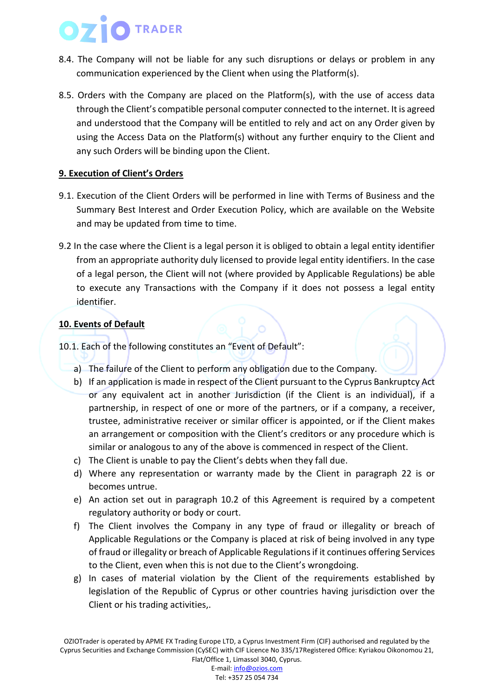- 8.4. The Company will not be liable for any such disruptions or delays or problem in any communication experienced by the Client when using the Platform(s).
- 8.5. Orders with the Company are placed on the Platform(s), with the use of access data through the Client's compatible personal computer connected to the internet. It is agreed and understood that the Company will be entitled to rely and act on any Order given by using the Access Data on the Platform(s) without any further enquiry to the Client and any such Orders will be binding upon the Client.

### **9. Execution of Client's Orders**

- 9.1. Execution of the Client Orders will be performed in line with Terms of Business and the Summary Best Interest and Order Execution Policy, which are available on the Website and may be updated from time to time.
- 9.2 In the case where the Client is a legal person it is obliged to obtain a legal entity identifier from an appropriate authority duly licensed to provide legal entity identifiers. In the case of a legal person, the Client will not (where provided by Applicable Regulations) be able to execute any Transactions with the Company if it does not possess a legal entity identifier.

### **10. Events of Default**

- 10.1. Each of the following constitutes an "Event of Default":
	- a) The failure of the Client to perform any obligation due to the Company.
	- b) If an application is made in respect of the Client pursuant to the Cyprus Bankruptcy Act or any equivalent act in another Jurisdiction (if the Client is an individual), if a partnership, in respect of one or more of the partners, or if a company, a receiver, trustee, administrative receiver or similar officer is appointed, or if the Client makes an arrangement or composition with the Client's creditors or any procedure which is similar or analogous to any of the above is commenced in respect of the Client.
	- c) The Client is unable to pay the Client's debts when they fall due.
	- d) Where any representation or warranty made by the Client in paragraph 22 is or becomes untrue.
	- e) An action set out in paragraph 10.2 of this Agreement is required by a competent regulatory authority or body or court.
	- f) The Client involves the Company in any type of fraud or illegality or breach of Applicable Regulations or the Company is placed at risk of being involved in any type of fraud or illegality or breach of Applicable Regulations if it continues offering Services to the Client, even when this is not due to the Client's wrongdoing.
	- g) In cases of material violation by the Client of the requirements established by legislation of the Republic of Cyprus or other countries having jurisdiction over the Client or his trading activities,.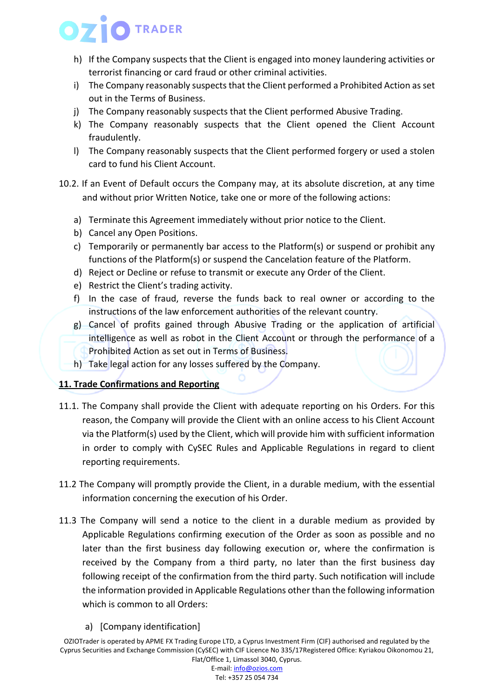

- h) If the Company suspects that the Client is engaged into money laundering activities or terrorist financing or card fraud or other criminal activities.
- i) The Company reasonably suspects that the Client performed a Prohibited Action as set out in the Terms of Business.
- j) The Company reasonably suspects that the Client performed Abusive Trading.
- k) The Company reasonably suspects that the Client opened the Client Account fraudulently.
- l) The Company reasonably suspects that the Client performed forgery or used a stolen card to fund his Client Account.
- 10.2. If an Event of Default occurs the Company may, at its absolute discretion, at any time and without prior Written Notice, take one or more of the following actions:
	- a) Terminate this Agreement immediately without prior notice to the Client.
	- b) Cancel any Open Positions.
	- c) Temporarily or permanently bar access to the Platform(s) or suspend or prohibit any functions of the Platform(s) or suspend the Cancelation feature of the Platform.
	- d) Reject or Decline or refuse to transmit or execute any Order of the Client.
	- e) Restrict the Client's trading activity.
	- f) In the case of fraud, reverse the funds back to real owner or according to the instructions of the law enforcement authorities of the relevant country.
	- g) Cancel of profits gained through Abusive Trading or the application of artificial intelligence as well as robot in the Client Account or through the performance of a Prohibited Action as set out in Terms of Business.
	- h) Take legal action for any losses suffered by the Company.

### **11. Trade Confirmations and Reporting**

- 11.1. The Company shall provide the Client with adequate reporting on his Orders. For this reason, the Company will provide the Client with an online access to his Client Account via the Platform(s) used by the Client, which will provide him with sufficient information in order to comply with CySEC Rules and Applicable Regulations in regard to client reporting requirements.
- 11.2 The Company will promptly provide the Client, in a durable medium, with the essential information concerning the execution of his Order.
- 11.3 The Company will send a notice to the client in a durable medium as provided by Applicable Regulations confirming execution of the Order as soon as possible and no later than the first business day following execution or, where the confirmation is received by the Company from a third party, no later than the first business day following receipt of the confirmation from the third party. Such notification will include the information provided in Applicable Regulations other than the following information which is common to all Orders:
	- a) [Company identification]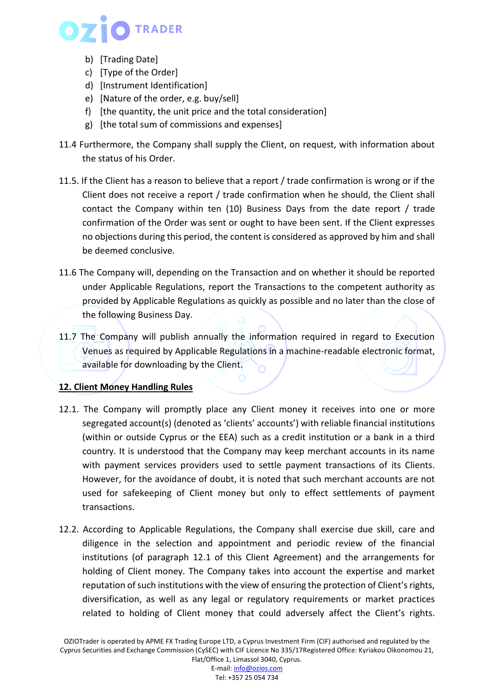

- b) [Trading Date]
- c) [Type of the Order]
- d) [Instrument Identification]
- e) [Nature of the order, e.g. buy/sell]
- f) [the quantity, the unit price and the total consideration]
- g) [the total sum of commissions and expenses]
- 11.4 Furthermore, the Company shall supply the Client, on request, with information about the status of his Order.
- 11.5. If the Client has a reason to believe that a report / trade confirmation is wrong or if the Client does not receive a report / trade confirmation when he should, the Client shall contact the Company within ten (10) Business Days from the date report / trade confirmation of the Order was sent or ought to have been sent. If the Client expresses no objections during this period, the content is considered as approved by him and shall be deemed conclusive.
- 11.6 The Company will, depending on the Transaction and on whether it should be reported under Applicable Regulations, report the Transactions to the competent authority as provided by Applicable Regulations as quickly as possible and no later than the close of the following Business Day.
- 11.7 The Company will publish annually the information required in regard to Execution Venues as required by Applicable Regulations in a machine-readable electronic format, available for downloading by the Client.

### **12. Client Money Handling Rules**

- 12.1. The Company will promptly place any Client money it receives into one or more segregated account(s) (denoted as 'clients' accounts') with reliable financial institutions (within or outside Cyprus or the EEA) such as a credit institution or a bank in a third country. It is understood that the Company may keep merchant accounts in its name with payment services providers used to settle payment transactions of its Clients. However, for the avoidance of doubt, it is noted that such merchant accounts are not used for safekeeping of Client money but only to effect settlements of payment transactions.
- 12.2. According to Applicable Regulations, the Company shall exercise due skill, care and diligence in the selection and appointment and periodic review of the financial institutions (of paragraph 12.1 of this Client Agreement) and the arrangements for holding of Client money. The Company takes into account the expertise and market reputation of such institutions with the view of ensuring the protection of Client's rights, diversification, as well as any legal or regulatory requirements or market practices related to holding of Client money that could adversely affect the Client's rights.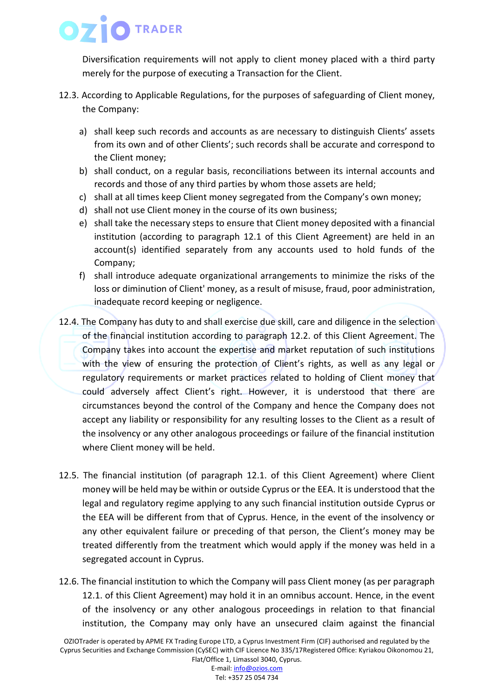Diversification requirements will not apply to client money placed with a third party merely for the purpose of executing a Transaction for the Client.

- 12.3. According to Applicable Regulations, for the purposes of safeguarding of Client money, the Company:
	- a) shall keep such records and accounts as are necessary to distinguish Clients' assets from its own and of other Clients'; such records shall be accurate and correspond to the Client money;
	- b) shall conduct, on a regular basis, reconciliations between its internal accounts and records and those of any third parties by whom those assets are held;
	- c) shall at all times keep Client money segregated from the Company's own money;
	- d) shall not use Client money in the course of its own business;
	- e) shall take the necessary steps to ensure that Client money deposited with a financial institution (according to paragraph 12.1 of this Client Agreement) are held in an account(s) identified separately from any accounts used to hold funds of the Company;
	- f) shall introduce adequate organizational arrangements to minimize the risks of the loss or diminution of Client' money, as a result of misuse, fraud, poor administration, inadequate record keeping or negligence.
- 12.4. The Company has duty to and shall exercise due skill, care and diligence in the selection of the financial institution according to paragraph 12.2. of this Client Agreement. The Company takes into account the expertise and market reputation of such institutions with the view of ensuring the protection of Client's rights, as well as any legal or regulatory requirements or market practices related to holding of Client money that could adversely affect Client's right. However, it is understood that there are circumstances beyond the control of the Company and hence the Company does not accept any liability or responsibility for any resulting losses to the Client as a result of the insolvency or any other analogous proceedings or failure of the financial institution where Client money will be held.
- 12.5. The financial institution (of paragraph 12.1. of this Client Agreement) where Client money will be held may be within or outside Cyprus or the EEA. It is understood that the legal and regulatory regime applying to any such financial institution outside Cyprus or the EEA will be different from that of Cyprus. Hence, in the event of the insolvency or any other equivalent failure or preceding of that person, the Client's money may be treated differently from the treatment which would apply if the money was held in a segregated account in Cyprus.
- 12.6. The financial institution to which the Company will pass Client money (as per paragraph 12.1. of this Client Agreement) may hold it in an omnibus account. Hence, in the event of the insolvency or any other analogous proceedings in relation to that financial institution, the Company may only have an unsecured claim against the financial

OZIOTrader is operated by APME FX Trading Europe LTD, a Cyprus Investment Firm (CIF) authorised and regulated by the Cyprus Securities and Exchange Commission (CySEC) with CIF Licence No 335/17Registered Office: Kyriakou Oikonomou 21, Flat/Office 1, Limassol 3040, Cyprus.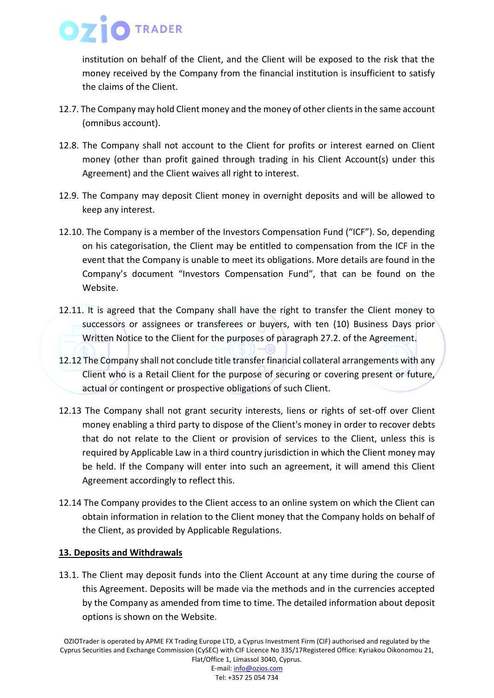institution on behalf of the Client, and the Client will be exposed to the risk that the money received by the Company from the financial institution is insufficient to satisfy the claims of the Client.

- 12.7. The Company may hold Client money and the money of other clients in the same account (omnibus account).
- 12.8. The Company shall not account to the Client for profits or interest earned on Client money (other than profit gained through trading in his Client Account(s) under this Agreement) and the Client waives all right to interest.
- 12.9. The Company may deposit Client money in overnight deposits and will be allowed to keep any interest.
- 12.10. The Company is a member of the Investors Compensation Fund ("ICF"). So, depending on his categorisation, the Client may be entitled to compensation from the ICF in the event that the Company is unable to meet its obligations. More details are found in the Company's document "Investors Compensation Fund", that can be found on the Website.
- 12.11. It is agreed that the Company shall have the right to transfer the Client money to successors or assignees or transferees or buyers, with ten (10) Business Days prior Written Notice to the Client for the purposes of paragraph 27.2. of the Agreement.
- 12.12 The Company shall not conclude title transfer financial collateral arrangements with any Client who is a Retail Client for the purpose of securing or covering present or future, actual or contingent or prospective obligations of such Client.
- 12.13 The Company shall not grant security interests, liens or rights of set-off over Client money enabling a third party to dispose of the Client's money in order to recover debts that do not relate to the Client or provision of services to the Client, unless this is required by Applicable Law in a third country jurisdiction in which the Client money may be held. If the Company will enter into such an agreement, it will amend this Client Agreement accordingly to reflect this.
- 12.14 The Company provides to the Client access to an online system on which the Client can obtain information in relation to the Client money that the Company holds on behalf of the Client, as provided by Applicable Regulations.

### **13. Deposits and Withdrawals**

13.1. The Client may deposit funds into the Client Account at any time during the course of this Agreement. Deposits will be made via the methods and in the currencies accepted by the Company as amended from time to time. The detailed information about deposit options is shown on the Website.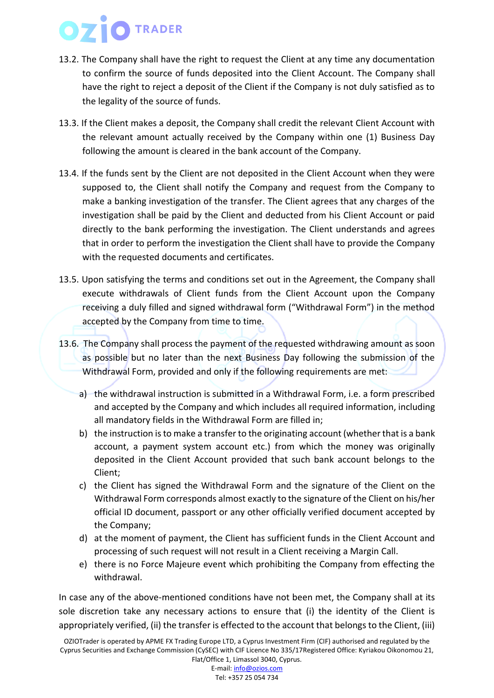- 13.2. The Company shall have the right to request the Client at any time any documentation to confirm the source of funds deposited into the Client Account. The Company shall have the right to reject a deposit of the Client if the Company is not duly satisfied as to the legality of the source of funds.
- 13.3. If the Client makes a deposit, the Company shall credit the relevant Client Account with the relevant amount actually received by the Company within one (1) Business Day following the amount is cleared in the bank account of the Company.
- 13.4. If the funds sent by the Client are not deposited in the Client Account when they were supposed to, the Client shall notify the Company and request from the Company to make a banking investigation of the transfer. The Client agrees that any charges of the investigation shall be paid by the Client and deducted from his Client Account or paid directly to the bank performing the investigation. The Client understands and agrees that in order to perform the investigation the Client shall have to provide the Company with the requested documents and certificates.
- 13.5. Upon satisfying the terms and conditions set out in the Agreement, the Company shall execute withdrawals of Client funds from the Client Account upon the Company receiving a duly filled and signed withdrawal form ("Withdrawal Form") in the method accepted by the Company from time to time.
- 13.6. The Company shall process the payment of the requested withdrawing amount as soon as possible but no later than the next Business Day following the submission of the Withdrawal Form, provided and only if the following requirements are met:
	- a) the withdrawal instruction is submitted in a Withdrawal Form, i.e. a form prescribed and accepted by the Company and which includes all required information, including all mandatory fields in the Withdrawal Form are filled in;
	- b) the instruction is to make a transfer to the originating account (whether that is a bank account, a payment system account etc.) from which the money was originally deposited in the Client Account provided that such bank account belongs to the Client;
	- c) the Client has signed the Withdrawal Form and the signature of the Client on the Withdrawal Form corresponds almost exactly to the signature of the Client on his/her official ID document, passport or any other officially verified document accepted by the Company;
	- d) at the moment of payment, the Client has sufficient funds in the Client Account and processing of such request will not result in a Client receiving a Margin Call.
	- e) there is no Force Majeure event which prohibiting the Company from effecting the withdrawal.

In case any of the above-mentioned conditions have not been met, the Company shall at its sole discretion take any necessary actions to ensure that (i) the identity of the Client is appropriately verified, (ii) the transfer is effected to the account that belongs to the Client, (iii)

OZIOTrader is operated by APME FX Trading Europe LTD, a Cyprus Investment Firm (CIF) authorised and regulated by the Cyprus Securities and Exchange Commission (CySEC) with CIF Licence No 335/17Registered Office: Kyriakou Oikonomou 21, Flat/Office 1, Limassol 3040, Cyprus.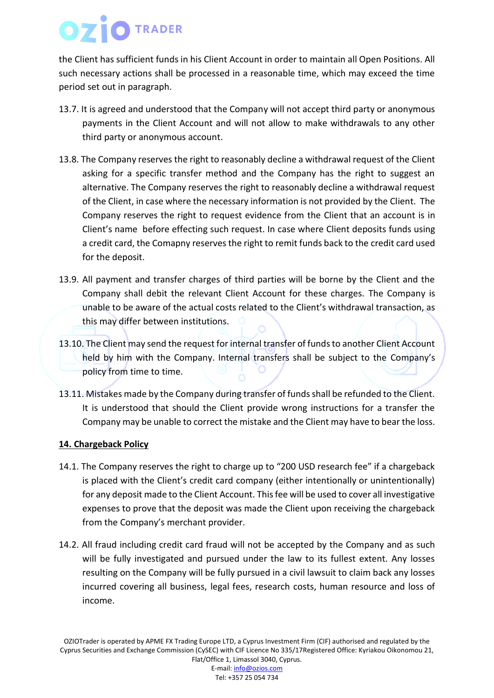the Client has sufficient funds in his Client Account in order to maintain all Open Positions. All such necessary actions shall be processed in a reasonable time, which may exceed the time period set out in paragraph.

- 13.7. It is agreed and understood that the Company will not accept third party or anonymous payments in the Client Account and will not allow to make withdrawals to any other third party or anonymous account.
- 13.8. The Company reserves the right to reasonably decline a withdrawal request of the Client asking for a specific transfer method and the Company has the right to suggest an alternative. The Company reserves the right to reasonably decline a withdrawal request of the Client, in case where the necessary information is not provided by the Client. The Company reserves the right to request evidence from the Client that an account is in Client's name before effecting such request. In case where Client deposits funds using a credit card, the Comapny reserves the right to remit funds back to the credit card used for the deposit.
- 13.9. All payment and transfer charges of third parties will be borne by the Client and the Company shall debit the relevant Client Account for these charges. The Company is unable to be aware of the actual costs related to the Client's withdrawal transaction, as this may differ between institutions.
- 13.10. The Client may send the request for internal transfer of funds to another Client Account held by him with the Company. Internal transfers shall be subject to the Company's policy from time to time.
- 13.11. Mistakes made by the Company during transfer of funds shall be refunded to the Client. It is understood that should the Client provide wrong instructions for a transfer the Company may be unable to correct the mistake and the Client may have to bear the loss.

### **14. Chargeback Policy**

- 14.1. The Company reserves the right to charge up to "200 USD research fee" if a chargeback is placed with the Client's credit card company (either intentionally or unintentionally) for any deposit made to the Client Account. This fee will be used to cover all investigative expenses to prove that the deposit was made the Client upon receiving the chargeback from the Company's merchant provider.
- 14.2. All fraud including credit card fraud will not be accepted by the Company and as such will be fully investigated and pursued under the law to its fullest extent. Any losses resulting on the Company will be fully pursued in a civil lawsuit to claim back any losses incurred covering all business, legal fees, research costs, human resource and loss of income.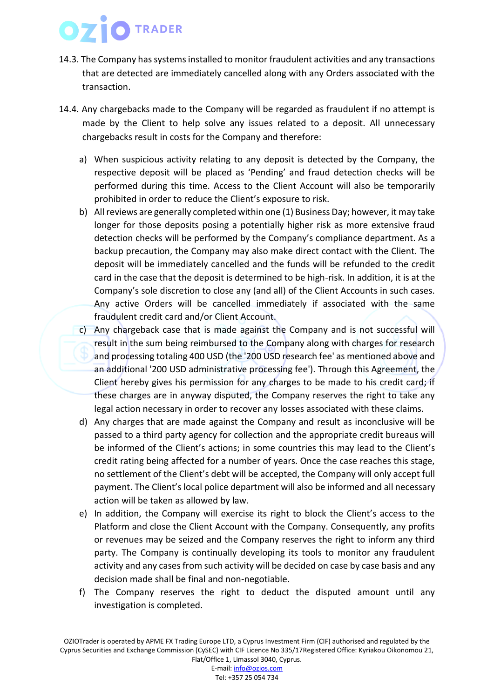- 14.3. The Company has systems installed to monitor fraudulent activities and any transactions that are detected are immediately cancelled along with any Orders associated with the transaction.
- 14.4. Any chargebacks made to the Company will be regarded as fraudulent if no attempt is made by the Client to help solve any issues related to a deposit. All unnecessary chargebacks result in costs for the Company and therefore:
	- a) When suspicious activity relating to any deposit is detected by the Company, the respective deposit will be placed as 'Pending' and fraud detection checks will be performed during this time. Access to the Client Account will also be temporarily prohibited in order to reduce the Client's exposure to risk.
	- b) All reviews are generally completed within one (1) Business Day; however, it may take longer for those deposits posing a potentially higher risk as more extensive fraud detection checks will be performed by the Company's compliance department. As a backup precaution, the Company may also make direct contact with the Client. The deposit will be immediately cancelled and the funds will be refunded to the credit card in the case that the deposit is determined to be high-risk. In addition, it is at the Company's sole discretion to close any (and all) of the Client Accounts in such cases. Any active Orders will be cancelled immediately if associated with the same fraudulent credit card and/or Client Account.
	- c) Any chargeback case that is made against the Company and is not successful will result in the sum being reimbursed to the Company along with charges for research and processing totaling 400 USD (the '200 USD research fee' as mentioned above and an additional '200 USD administrative processing fee'). Through this Agreement, the Client hereby gives his permission for any charges to be made to his credit card; if these charges are in anyway disputed, the Company reserves the right to take any legal action necessary in order to recover any losses associated with these claims.
	- d) Any charges that are made against the Company and result as inconclusive will be passed to a third party agency for collection and the appropriate credit bureaus will be informed of the Client's actions; in some countries this may lead to the Client's credit rating being affected for a number of years. Once the case reaches this stage, no settlement of the Client's debt will be accepted, the Company will only accept full payment. The Client's local police department will also be informed and all necessary action will be taken as allowed by law.
	- e) In addition, the Company will exercise its right to block the Client's access to the Platform and close the Client Account with the Company. Consequently, any profits or revenues may be seized and the Company reserves the right to inform any third party. The Company is continually developing its tools to monitor any fraudulent activity and any cases from such activity will be decided on case by case basis and any decision made shall be final and non-negotiable.
	- f) The Company reserves the right to deduct the disputed amount until any investigation is completed.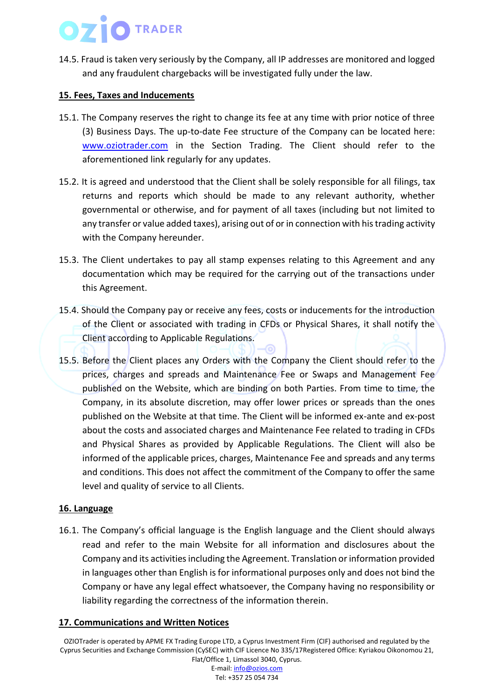14.5. Fraud is taken very seriously by the Company, all IP addresses are monitored and logged and any fraudulent chargebacks will be investigated fully under the law.

### **15. Fees, Taxes and Inducements**

- 15.1. The Company reserves the right to change its fee at any time with prior notice of three (3) Business Days. The up-to-date Fee structure of the Company can be located here: [www.oziotrader.com](http://www.oziotrader.com/) in the Section Trading. The Client should refer to the aforementioned link regularly for any updates.
- 15.2. It is agreed and understood that the Client shall be solely responsible for all filings, tax returns and reports which should be made to any relevant authority, whether governmental or otherwise, and for payment of all taxes (including but not limited to any transfer or value added taxes), arising out of or in connection with his trading activity with the Company hereunder.
- 15.3. The Client undertakes to pay all stamp expenses relating to this Agreement and any documentation which may be required for the carrying out of the transactions under this Agreement.
- 15.4. Should the Company pay or receive any fees, costs or inducements for the introduction of the Client or associated with trading in CFDs or Physical Shares, it shall notify the Client according to Applicable Regulations.
- 15.5. Before the Client places any Orders with the Company the Client should refer to the prices, charges and spreads and Maintenance Fee or Swaps and Management Fee published on the Website, which are binding on both Parties. From time to time, the Company, in its absolute discretion, may offer lower prices or spreads than the ones published on the Website at that time. The Client will be informed ex-ante and ex-post about the costs and associated charges and Maintenance Fee related to trading in CFDs and Physical Shares as provided by Applicable Regulations. The Client will also be informed of the applicable prices, charges, Maintenance Fee and spreads and any terms and conditions. This does not affect the commitment of the Company to offer the same level and quality of service to all Clients.

### **16. Language**

16.1. The Company's official language is the English language and the Client should always read and refer to the main Website for all information and disclosures about the Company and its activities including the Agreement. Translation or information provided in languages other than English is for informational purposes only and does not bind the Company or have any legal effect whatsoever, the Company having no responsibility or liability regarding the correctness of the information therein.

### **17. Communications and Written Notices**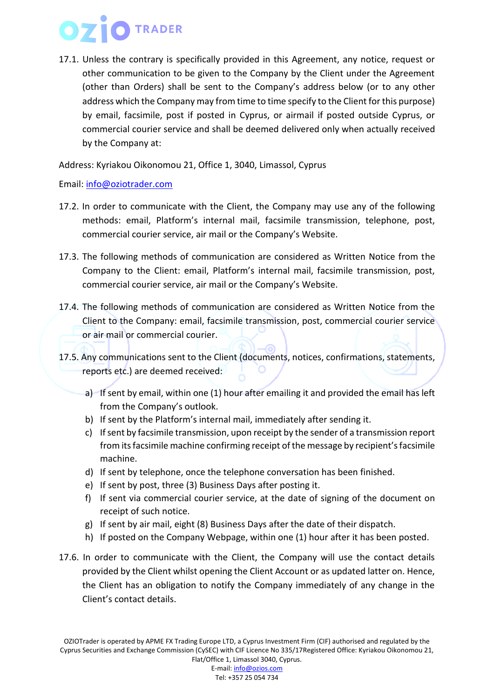17.1. Unless the contrary is specifically provided in this Agreement, any notice, request or other communication to be given to the Company by the Client under the Agreement (other than Orders) shall be sent to the Company's address below (or to any other address which the Company may from time to time specify to the Client for this purpose) by email, facsimile, post if posted in Cyprus, or airmail if posted outside Cyprus, or commercial courier service and shall be deemed delivered only when actually received by the Company at:

Address: Kyriakou Oikonomou 21, Office 1, 3040, Limassol, Cyprus

Email: [info@oziotrader.com](mailto:info@oziotrader.com)

- 17.2. In order to communicate with the Client, the Company may use any of the following methods: email, Platform's internal mail, facsimile transmission, telephone, post, commercial courier service, air mail or the Company's Website.
- 17.3. The following methods of communication are considered as Written Notice from the Company to the Client: email, Platform's internal mail, facsimile transmission, post, commercial courier service, air mail or the Company's Website.
- 17.4. The following methods of communication are considered as Written Notice from the Client to the Company: email, facsimile transmission, post, commercial courier service or air mail or commercial courier.
- 17.5. Any communications sent to the Client (documents, notices, confirmations, statements, reports etc.) are deemed received:
	- a) If sent by email, within one (1) hour after emailing it and provided the email has left from the Company's outlook.
	- b) If sent by the Platform's internal mail, immediately after sending it.
	- c) If sent by facsimile transmission, upon receipt by the sender of a transmission report from its facsimile machine confirming receipt of the message by recipient's facsimile machine.
	- d) If sent by telephone, once the telephone conversation has been finished.
	- e) If sent by post, three (3) Business Days after posting it.
	- f) If sent via commercial courier service, at the date of signing of the document on receipt of such notice.
	- g) If sent by air mail, eight (8) Business Days after the date of their dispatch.
	- h) If posted on the Company Webpage, within one (1) hour after it has been posted.
- 17.6. In order to communicate with the Client, the Company will use the contact details provided by the Client whilst opening the Client Account or as updated latter on. Hence, the Client has an obligation to notify the Company immediately of any change in the Client's contact details.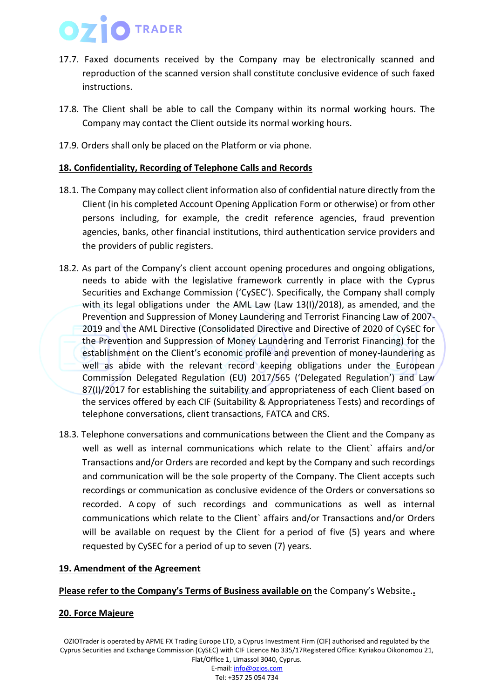- 17.7. Faxed documents received by the Company may be electronically scanned and reproduction of the scanned version shall constitute conclusive evidence of such faxed instructions.
- 17.8. The Client shall be able to call the Company within its normal working hours. The Company may contact the Client outside its normal working hours.
- 17.9. Orders shall only be placed on the Platform or via phone.

### **18. Confidentiality, Recording of Telephone Calls and Records**

- 18.1. The Company may collect client information also of confidential nature directly from the Client (in his completed Account Opening Application Form or otherwise) or from other persons including, for example, the credit reference agencies, fraud prevention agencies, banks, other financial institutions, third authentication service providers and the providers of public registers.
- 18.2. As part of the Company's client account opening procedures and ongoing obligations, needs to abide with the legislative framework currently in place with the Cyprus Securities and Exchange Commission ('CySEC'). Specifically, the Company shall comply with its legal obligations under the AML Law (Law 13(I)/2018), as amended, and the Prevention and Suppression of Money Laundering and Terrorist Financing Law of 2007- 2019 and the AML Directive (Consolidated Directive and Directive of 2020 of CySEC for the Prevention and Suppression of Money Laundering and Terrorist Financing) for the establishment on the Client's economic profile and prevention of money-laundering as well as abide with the relevant record keeping obligations under the European Commission Delegated Regulation (EU) 2017/565 ('Delegated Regulation') and Law 87(I)/2017 for establishing the suitability and appropriateness of each Client based on the services offered by each CIF (Suitability & Appropriateness Tests) and recordings of telephone conversations, client transactions, FATCA and CRS.
- 18.3. Telephone conversations and communications between the Client and the Company as well as well as internal communications which relate to the Client` affairs and/or Transactions and/or Orders are recorded and kept by the Company and such recordings and communication will be the sole property of the Company. The Client accepts such recordings or communication as conclusive evidence of the Orders or conversations so recorded. A copy of such recordings and communications as well as internal communications which relate to the Client` affairs and/or Transactions and/or Orders will be available on request by the Client for a period of five (5) years and where requested by CySEC for a period of up to seven (7) years.

### **19. Amendment of the Agreement**

### **Please refer to the Company's Terms of Business available on** the Company's Website.**.**

### **20. Force Majeure**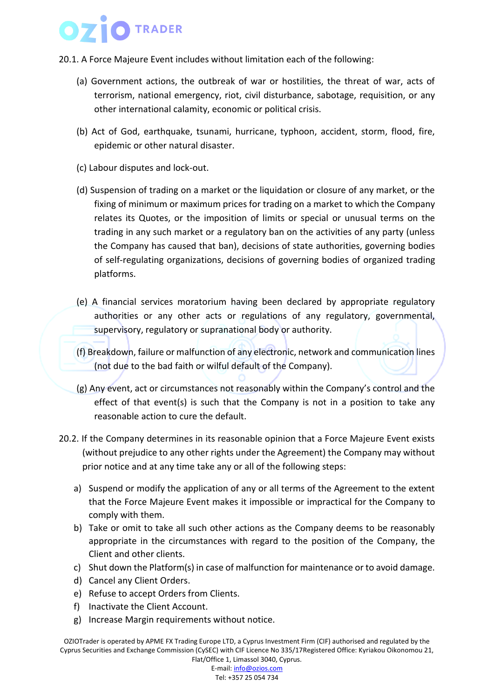- 20.1. A Force Majeure Event includes without limitation each of the following:
	- (a) Government actions, the outbreak of war or hostilities, the threat of war, acts of terrorism, national emergency, riot, civil disturbance, sabotage, requisition, or any other international calamity, economic or political crisis.
	- (b) Act of God, earthquake, tsunami, hurricane, typhoon, accident, storm, flood, fire, epidemic or other natural disaster.
	- (c) Labour disputes and lock-out.
	- (d) Suspension of trading on a market or the liquidation or closure of any market, or the fixing of minimum or maximum prices for trading on a market to which the Company relates its Quotes, or the imposition of limits or special or unusual terms on the trading in any such market or a regulatory ban on the activities of any party (unless the Company has caused that ban), decisions of state authorities, governing bodies of self-regulating organizations, decisions of governing bodies of organized trading platforms.
	- (e) A financial services moratorium having been declared by appropriate regulatory authorities or any other acts or regulations of any regulatory, governmental, supervisory, regulatory or supranational body or authority.
	- (f) Breakdown, failure or malfunction of any electronic, network and communication lines (not due to the bad faith or wilful default of the Company).
	- (g) Any event, act or circumstances not reasonably within the Company's control and the effect of that event(s) is such that the Company is not in a position to take any reasonable action to cure the default.
- 20.2. If the Company determines in its reasonable opinion that a Force Majeure Event exists (without prejudice to any other rights under the Agreement) the Company may without prior notice and at any time take any or all of the following steps:
	- a) Suspend or modify the application of any or all terms of the Agreement to the extent that the Force Majeure Event makes it impossible or impractical for the Company to comply with them.
	- b) Take or omit to take all such other actions as the Company deems to be reasonably appropriate in the circumstances with regard to the position of the Company, the Client and other clients.
	- c) Shut down the Platform(s) in case of malfunction for maintenance or to avoid damage.
	- d) Cancel any Client Orders.
	- e) Refuse to accept Orders from Clients.
	- f) Inactivate the Client Account.
	- g) Increase Margin requirements without notice.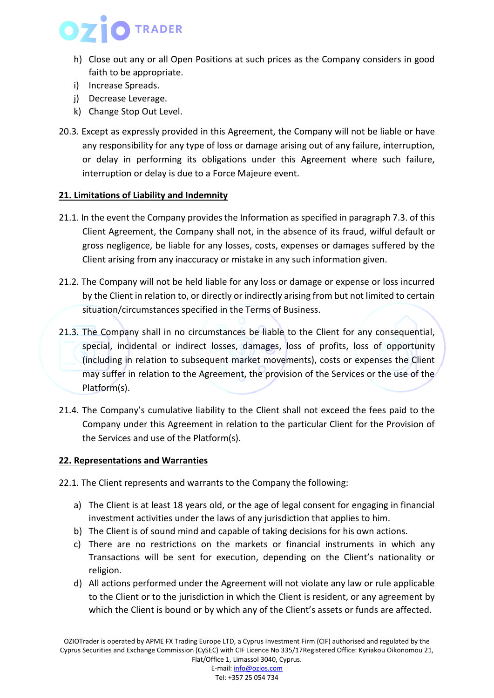- h) Close out any or all Open Positions at such prices as the Company considers in good faith to be appropriate.
- i) Increase Spreads.
- j) Decrease Leverage.
- k) Change Stop Out Level.
- 20.3. Except as expressly provided in this Agreement, the Company will not be liable or have any responsibility for any type of loss or damage arising out of any failure, interruption, or delay in performing its obligations under this Agreement where such failure, interruption or delay is due to a Force Majeure event.

### **21. Limitations of Liability and Indemnity**

- 21.1. In the event the Company provides the Information as specified in paragraph 7.3. of this Client Agreement, the Company shall not, in the absence of its fraud, wilful default or gross negligence, be liable for any losses, costs, expenses or damages suffered by the Client arising from any inaccuracy or mistake in any such information given.
- 21.2. The Company will not be held liable for any loss or damage or expense or loss incurred by the Client in relation to, or directly or indirectly arising from but not limited to certain situation/circumstances specified in the Terms of Business.
- 21.3. The Company shall in no circumstances be liable to the Client for any consequential, special, incidental or indirect losses, damages, loss of profits, loss of opportunity (including in relation to subsequent market movements), costs or expenses the Client may suffer in relation to the Agreement, the provision of the Services or the use of the Platform(s).
- 21.4. The Company's cumulative liability to the Client shall not exceed the fees paid to the Company under this Agreement in relation to the particular Client for the Provision of the Services and use of the Platform(s).

### **22. Representations and Warranties**

- 22.1. The Client represents and warrants to the Company the following:
	- a) The Client is at least 18 years old, or the age of legal consent for engaging in financial investment activities under the laws of any jurisdiction that applies to him.
	- b) The Client is of sound mind and capable of taking decisions for his own actions.
	- c) There are no restrictions on the markets or financial instruments in which any Transactions will be sent for execution, depending on the Client's nationality or religion.
	- d) All actions performed under the Agreement will not violate any law or rule applicable to the Client or to the jurisdiction in which the Client is resident, or any agreement by which the Client is bound or by which any of the Client's assets or funds are affected.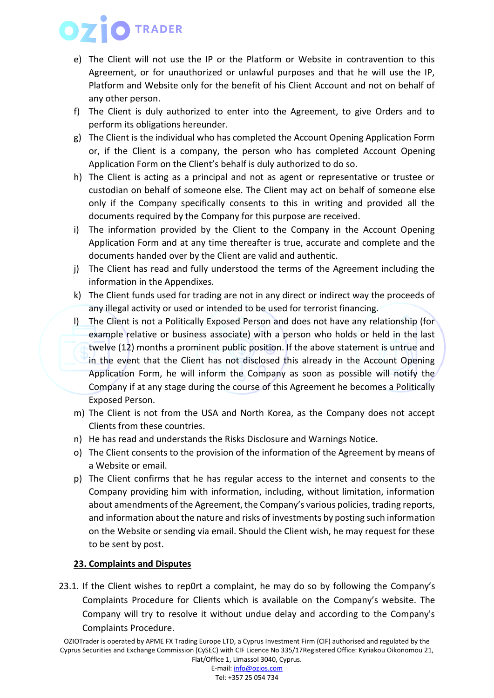- e) The Client will not use the IP or the Platform or Website in contravention to this Agreement, or for unauthorized or unlawful purposes and that he will use the IP, Platform and Website only for the benefit of his Client Account and not on behalf of any other person.
- f) The Client is duly authorized to enter into the Agreement, to give Orders and to perform its obligations hereunder.
- g) The Client is the individual who has completed the Account Opening Application Form or, if the Client is a company, the person who has completed Account Opening Application Form on the Client's behalf is duly authorized to do so.
- h) The Client is acting as a principal and not as agent or representative or trustee or custodian on behalf of someone else. The Client may act on behalf of someone else only if the Company specifically consents to this in writing and provided all the documents required by the Company for this purpose are received.
- i) The information provided by the Client to the Company in the Account Opening Application Form and at any time thereafter is true, accurate and complete and the documents handed over by the Client are valid and authentic.
- j) The Client has read and fully understood the terms of the Agreement including the information in the Appendixes.
- k) The Client funds used for trading are not in any direct or indirect way the proceeds of any illegal activity or used or intended to be used for terrorist financing.
- l) The Client is not a Politically Exposed Person and does not have any relationship (for example relative or business associate) with a person who holds or held in the last twelve (12) months a prominent public position. If the above statement is untrue and in the event that the Client has not disclosed this already in the Account Opening Application Form, he will inform the Company as soon as possible will notify the Company if at any stage during the course of this Agreement he becomes a Politically Exposed Person.
- m) The Client is not from the USA and North Korea, as the Company does not accept Clients from these countries.
- n) He has read and understands the Risks Disclosure and Warnings Notice.
- o) The Client consents to the provision of the information of the Agreement by means of a Website or email.
- p) The Client confirms that he has regular access to the internet and consents to the Company providing him with information, including, without limitation, information about amendments of the Agreement, the Company's various policies, trading reports, and information about the nature and risks of investments by posting such information on the Website or sending via email. Should the Client wish, he may request for these to be sent by post.

### **23. Complaints and Disputes**

23.1. If the Client wishes to rep0rt a complaint, he may do so by following the Company's Complaints Procedure for Clients which is available on the Company's website. The Company will try to resolve it without undue delay and according to the Company's Complaints Procedure.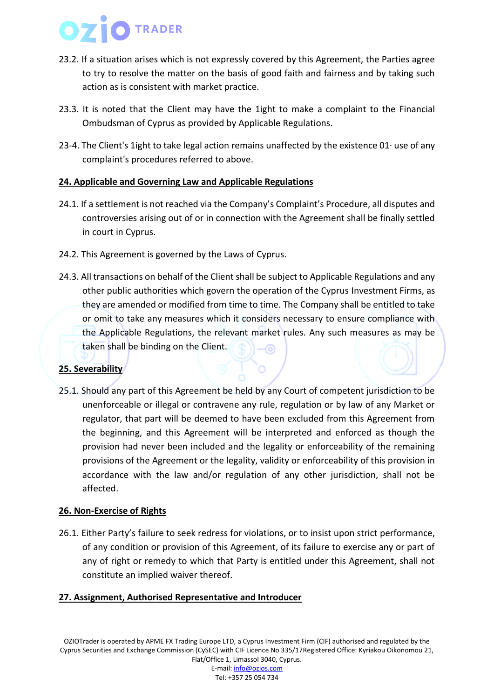# TRADER

- 23.2. If a situation arises which is not expressly covered by this Agreement, the Parties agree to try to resolve the matter on the basis of good faith and fairness and by taking such action as is consistent with market practice.
- 23.3. It is noted that the Client may have the 1ight to make a complaint to the Financial Ombudsman of Cyprus as provided by Applicable Regulations.
- 23-4. The Client's 1ight to take legal action remains unaffected by the existence  $01<sup>1</sup>$  use of any complaint's procedures referred to above.

### **24. Applicable and Governing Law and Applicable Regulations**

- 24.1. If a settlement is not reached via the Company's Complaint's Procedure, all disputes and controversies arising out of or in connection with the Agreement shall be finally settled in court in Cyprus.
- 24.2. This Agreement is governed by the Laws of Cyprus.
- 24.3. All transactions on behalf of the Client shall be subject to Applicable Regulations and any other public authorities which govern the operation of the Cyprus Investment Firms, as they are amended or modified from time to time. The Company shall be entitled to take or omit to take any measures which it considers necessary to ensure compliance with the Applicable Regulations, the relevant market rules. Any such measures as may be taken shall be binding on the Client.

### **25. Severability**

25.1. Should any part of this Agreement be held by any Court of competent jurisdiction to be unenforceable or illegal or contravene any rule, regulation or by law of any Market or regulator, that part will be deemed to have been excluded from this Agreement from the beginning, and this Agreement will be interpreted and enforced as though the provision had never been included and the legality or enforceability of the remaining provisions of the Agreement or the legality, validity or enforceability of this provision in accordance with the law and/or regulation of any other jurisdiction, shall not be affected.

### **26. Non-Exercise of Rights**

26.1. Either Party's failure to seek redress for violations, or to insist upon strict performance, of any condition or provision of this Agreement, of its failure to exercise any or part of any of right or remedy to which that Party is entitled under this Agreement, shall not constitute an implied waiver thereof.

### **27. Assignment, Authorised Representative and Introducer**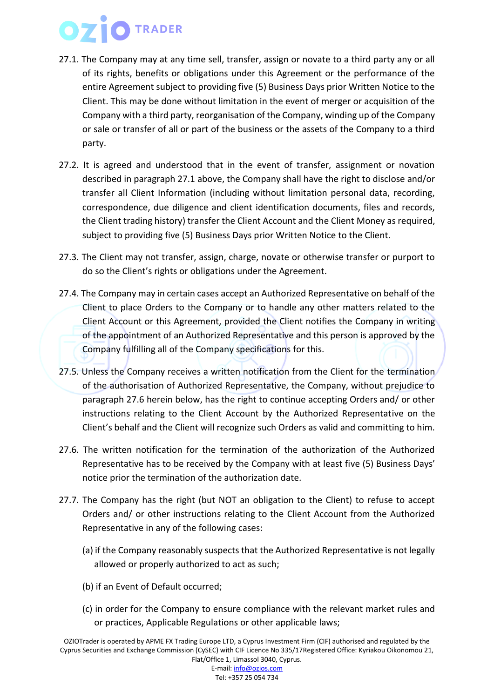- 27.1. The Company may at any time sell, transfer, assign or novate to a third party any or all of its rights, benefits or obligations under this Agreement or the performance of the entire Agreement subject to providing five (5) Business Days prior Written Notice to the Client. This may be done without limitation in the event of merger or acquisition of the Company with a third party, reorganisation of the Company, winding up of the Company or sale or transfer of all or part of the business or the assets of the Company to a third party.
- 27.2. It is agreed and understood that in the event of transfer, assignment or novation described in paragraph 27.1 above, the Company shall have the right to disclose and/or transfer all Client Information (including without limitation personal data, recording, correspondence, due diligence and client identification documents, files and records, the Client trading history) transfer the Client Account and the Client Money as required, subject to providing five (5) Business Days prior Written Notice to the Client.
- 27.3. The Client may not transfer, assign, charge, novate or otherwise transfer or purport to do so the Client's rights or obligations under the Agreement.
- 27.4. The Company may in certain cases accept an Authorized Representative on behalf of the Client to place Orders to the Company or to handle any other matters related to the Client Account or this Agreement, provided the Client notifies the Company in writing of the appointment of an Authorized Representative and this person is approved by the Company fulfilling all of the Company specifications for this.
- 27.5. Unless the Company receives a written notification from the Client for the termination of the authorisation of Authorized Representative, the Company, without prejudice to paragraph 27.6 herein below, has the right to continue accepting Orders and/ or other instructions relating to the Client Account by the Authorized Representative on the Client's behalf and the Client will recognize such Orders as valid and committing to him.
- 27.6. The written notification for the termination of the authorization of the Authorized Representative has to be received by the Company with at least five (5) Business Days' notice prior the termination of the authorization date.
- 27.7. The Company has the right (but NOT an obligation to the Client) to refuse to accept Orders and/ or other instructions relating to the Client Account from the Authorized Representative in any of the following cases:
	- (a) if the Company reasonably suspects that the Authorized Representative is not legally allowed or properly authorized to act as such;
	- (b) if an Event of Default occurred;
	- (c) in order for the Company to ensure compliance with the relevant market rules and or practices, Applicable Regulations or other applicable laws;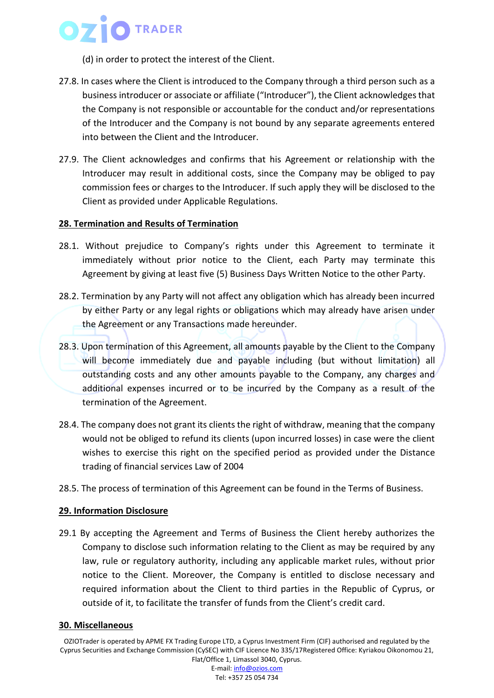

(d) in order to protect the interest of the Client.

- 27.8. In cases where the Client is introduced to the Company through a third person such as a business introducer or associate or affiliate ("Introducer"), the Client acknowledges that the Company is not responsible or accountable for the conduct and/or representations of the Introducer and the Company is not bound by any separate agreements entered into between the Client and the Introducer.
- 27.9. The Client acknowledges and confirms that his Agreement or relationship with the Introducer may result in additional costs, since the Company may be obliged to pay commission fees or charges to the Introducer. If such apply they will be disclosed to the Client as provided under Applicable Regulations.

#### **28. Termination and Results of Termination**

- 28.1. Without prejudice to Company's rights under this Agreement to terminate it immediately without prior notice to the Client, each Party may terminate this Agreement by giving at least five (5) Business Days Written Notice to the other Party.
- 28.2. Termination by any Party will not affect any obligation which has already been incurred by either Party or any legal rights or obligations which may already have arisen under the Agreement or any Transactions made hereunder.
- 28.3. Upon termination of this Agreement, all amounts payable by the Client to the Company will become immediately due and payable including (but without limitation) all outstanding costs and any other amounts payable to the Company, any charges and additional expenses incurred or to be incurred by the Company as a result of the termination of the Agreement.
- 28.4. The company does not grant its clients the right of withdraw, meaning that the company would not be obliged to refund its clients (upon incurred losses) in case were the client wishes to exercise this right on the specified period as provided under the Distance trading of financial services Law of 2004
- 28.5. The process of termination of this Agreement can be found in the Terms of Business.

#### **29. Information Disclosure**

29.1 By accepting the Agreement and Terms of Business the Client hereby authorizes the Company to disclose such information relating to the Client as may be required by any law, rule or regulatory authority, including any applicable market rules, without prior notice to the Client. Moreover, the Company is entitled to disclose necessary and required information about the Client to third parties in the Republic of Cyprus, or outside of it, to facilitate the transfer of funds from the Client's credit card.

#### **30. Miscellaneous**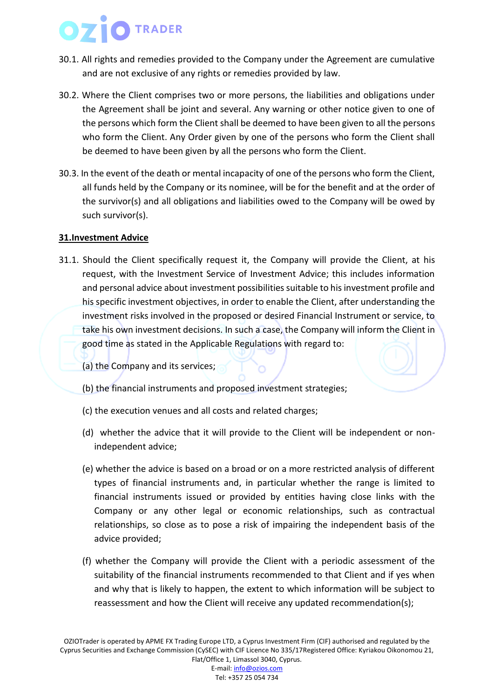- 30.1. All rights and remedies provided to the Company under the Agreement are cumulative and are not exclusive of any rights or remedies provided by law.
- 30.2. Where the Client comprises two or more persons, the liabilities and obligations under the Agreement shall be joint and several. Any warning or other notice given to one of the persons which form the Client shall be deemed to have been given to all the persons who form the Client. Any Order given by one of the persons who form the Client shall be deemed to have been given by all the persons who form the Client.
- 30.3. In the event of the death or mental incapacity of one of the persons who form the Client, all funds held by the Company or its nominee, will be for the benefit and at the order of the survivor(s) and all obligations and liabilities owed to the Company will be owed by such survivor(s).

### **31.Investment Advice**

- 31.1. Should the Client specifically request it, the Company will provide the Client, at his request, with the Investment Service of Investment Advice; this includes information and personal advice about investment possibilities suitable to his investment profile and his specific investment objectives, in order to enable the Client, after understanding the investment risks involved in the proposed or desired Financial Instrument or service, to take his own investment decisions. In such a case, the Company will inform the Client in good time as stated in the Applicable Regulations with regard to:
	- (a) the Company and its services;
	- (b) the financial instruments and proposed investment strategies;
	- (c) the execution venues and all costs and related charges;
	- (d) whether the advice that it will provide to the Client will be independent or nonindependent advice;
	- (e) whether the advice is based on a broad or on a more restricted analysis of different types of financial instruments and, in particular whether the range is limited to financial instruments issued or provided by entities having close links with the Company or any other legal or economic relationships, such as contractual relationships, so close as to pose a risk of impairing the independent basis of the advice provided;
	- (f) whether the Company will provide the Client with a periodic assessment of the suitability of the financial instruments recommended to that Client and if yes when and why that is likely to happen, the extent to which information will be subject to reassessment and how the Client will receive any updated recommendation(s);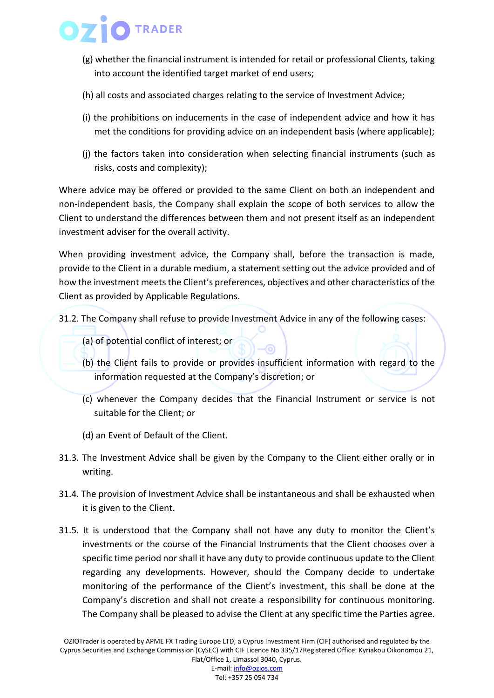

- (g) whether the financial instrument is intended for retail or professional Clients, taking into account the identified target market of end users;
- (h) all costs and associated charges relating to the service of Investment Advice;
- (i) the prohibitions on inducements in the case of independent advice and how it has met the conditions for providing advice on an independent basis (where applicable);
- (j) the factors taken into consideration when selecting financial instruments (such as risks, costs and complexity);

Where advice may be offered or provided to the same Client on both an independent and non-independent basis, the Company shall explain the scope of both services to allow the Client to understand the differences between them and not present itself as an independent investment adviser for the overall activity.

When providing investment advice, the Company shall, before the transaction is made, provide to the Client in a durable medium, a statement setting out the advice provided and of how the investment meets the Client's preferences, objectives and other characteristics of the Client as provided by Applicable Regulations.

31.2. The Company shall refuse to provide Investment Advice in any of the following cases:

(a) of potential conflict of interest; or

- (b) the Client fails to provide or provides insufficient information with regard to the information requested at the Company's discretion; or
- (c) whenever the Company decides that the Financial Instrument or service is not suitable for the Client; or
- (d) an Event of Default of the Client.
- 31.3. The Investment Advice shall be given by the Company to the Client either orally or in writing.
- 31.4. The provision of Investment Advice shall be instantaneous and shall be exhausted when it is given to the Client.
- 31.5. It is understood that the Company shall not have any duty to monitor the Client's investments or the course of the Financial Instruments that the Client chooses over a specific time period nor shall it have any duty to provide continuous update to the Client regarding any developments. However, should the Company decide to undertake monitoring of the performance of the Client's investment, this shall be done at the Company's discretion and shall not create a responsibility for continuous monitoring. The Company shall be pleased to advise the Client at any specific time the Parties agree.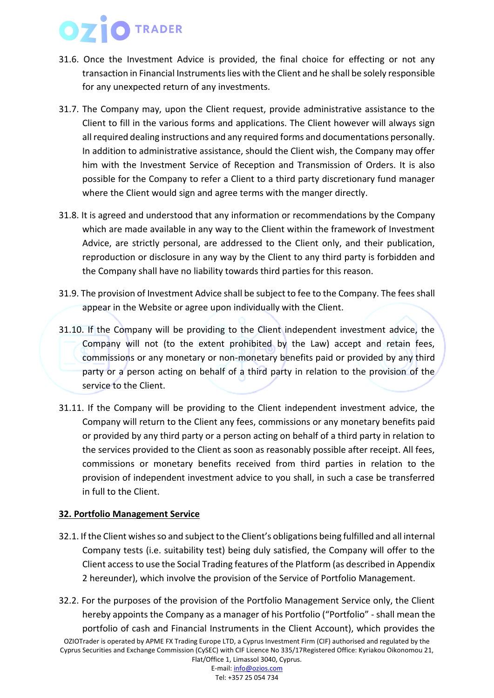- 31.6. Once the Investment Advice is provided, the final choice for effecting or not any transaction in Financial Instruments lies with the Client and he shall be solely responsible for any unexpected return of any investments.
- 31.7. The Company may, upon the Client request, provide administrative assistance to the Client to fill in the various forms and applications. The Client however will always sign all required dealing instructions and any required forms and documentations personally. In addition to administrative assistance, should the Client wish, the Company may offer him with the Investment Service of Reception and Transmission of Orders. It is also possible for the Company to refer a Client to a third party discretionary fund manager where the Client would sign and agree terms with the manger directly.
- 31.8. It is agreed and understood that any information or recommendations by the Company which are made available in any way to the Client within the framework of Investment Advice, are strictly personal, are addressed to the Client only, and their publication, reproduction or disclosure in any way by the Client to any third party is forbidden and the Company shall have no liability towards third parties for this reason.
- 31.9. The provision of Investment Advice shall be subject to fee to the Company. The fees shall appear in the Website or agree upon individually with the Client.
- 31.10. If the Company will be providing to the Client independent investment advice, the Company will not (to the extent prohibited by the Law) accept and retain fees, commissions or any monetary or non-monetary benefits paid or provided by any third party or a person acting on behalf of a third party in relation to the provision of the service to the Client.
- 31.11. If the Company will be providing to the Client independent investment advice, the Company will return to the Client any fees, commissions or any monetary benefits paid or provided by any third party or a person acting on behalf of a third party in relation to the services provided to the Client as soon as reasonably possible after receipt. All fees, commissions or monetary benefits received from third parties in relation to the provision of independent investment advice to you shall, in such a case be transferred in full to the Client.

### **32. Portfolio Management Service**

- 32.1. If the Client wishes so and subject to the Client's obligations being fulfilled and all internal Company tests (i.e. suitability test) being duly satisfied, the Company will offer to the Client access to use the Social Trading features of the Platform (as described in Appendix 2 hereunder), which involve the provision of the Service of Portfolio Management.
- OZIOTrader is operated by APME FX Trading Europe LTD, a Cyprus Investment Firm (CIF) authorised and regulated by the Cyprus Securities and Exchange Commission (CySEC) with CIF Licence No 335/17Registered Office: Kyriakou Oikonomou 21, 32.2. For the purposes of the provision of the Portfolio Management Service only, the Client hereby appoints the Company as a manager of his Portfolio ("Portfolio" - shall mean the portfolio of cash and Financial Instruments in the Client Account), which provides the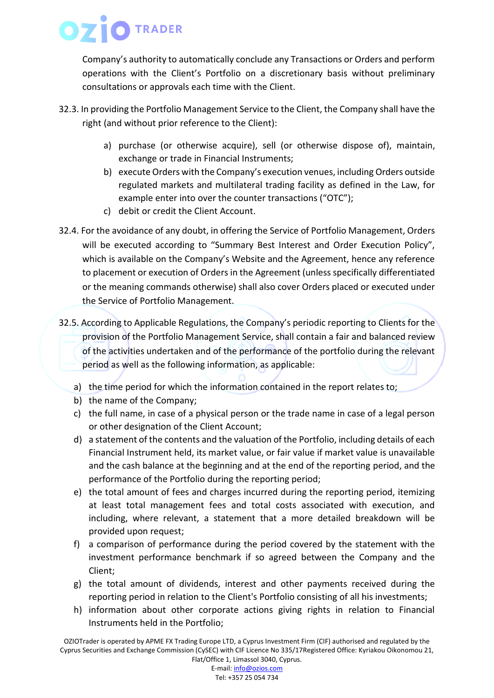Company's authority to automatically conclude any Transactions or Orders and perform operations with the Client's Portfolio on a discretionary basis without preliminary consultations or approvals each time with the Client.

- 32.3. In providing the Portfolio Management Service to the Client, the Company shall have the right (and without prior reference to the Client):
	- a) purchase (or otherwise acquire), sell (or otherwise dispose of), maintain, exchange or trade in Financial Instruments;
	- b) execute Orders with the Company's execution venues, including Orders outside regulated markets and multilateral trading facility as defined in the Law, for example enter into over the counter transactions ("OTC");
	- c) debit or credit the Client Account.
- 32.4. For the avoidance of any doubt, in offering the Service of Portfolio Management, Orders will be executed according to "Summary Best Interest and Order Execution Policy", which is available on the Company's Website and the Agreement, hence any reference to placement or execution of Orders in the Agreement (unless specifically differentiated or the meaning commands otherwise) shall also cover Orders placed or executed under the Service of Portfolio Management.
- 32.5. According to Applicable Regulations, the Company's periodic reporting to Clients for the provision of the Portfolio Management Service, shall contain a fair and balanced review of the activities undertaken and of the performance of the portfolio during the relevant period as well as the following information, as applicable:
	- a) the time period for which the information contained in the report relates to;
	- b) the name of the Company;
	- c) the full name, in case of a physical person or the trade name in case of a legal person or other designation of the Client Account;
	- d) a statement of the contents and the valuation of the Portfolio, including details of each Financial Instrument held, its market value, or fair value if market value is unavailable and the cash balance at the beginning and at the end of the reporting period, and the performance of the Portfolio during the reporting period;
	- e) the total amount of fees and charges incurred during the reporting period, itemizing at least total management fees and total costs associated with execution, and including, where relevant, a statement that a more detailed breakdown will be provided upon request;
	- f) a comparison of performance during the period covered by the statement with the investment performance benchmark if so agreed between the Company and the Client;
	- g) the total amount of dividends, interest and other payments received during the reporting period in relation to the Client's Portfolio consisting of all his investments;
	- h) information about other corporate actions giving rights in relation to Financial Instruments held in the Portfolio;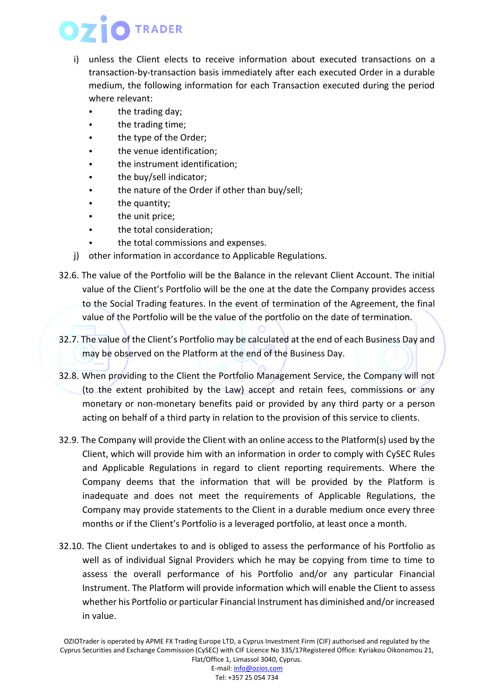- i) unless the Client elects to receive information about executed transactions on a transaction-by-transaction basis immediately after each executed Order in a durable medium, the following information for each Transaction executed during the period where relevant:
	- the trading day;
	- the trading time;
	- the type of the Order;
	- the venue identification:
	- the instrument identification;
	- the buy/sell indicator;
	- the nature of the Order if other than buy/sell;
	- the quantity;
	- the unit price:
	- the total consideration;
	- the total commissions and expenses.
- j) other information in accordance to Applicable Regulations.
- 32.6. The value of the Portfolio will be the Balance in the relevant Client Account. The initial value of the Client's Portfolio will be the one at the date the Company provides access to the Social Trading features. In the event of termination of the Agreement, the final value of the Portfolio will be the value of the portfolio on the date of termination.
- 32.7. The value of the Client's Portfolio may be calculated at the end of each Business Day and may be observed on the Platform at the end of the Business Day.
- 32.8. When providing to the Client the Portfolio Management Service, the Company will not (to the extent prohibited by the Law) accept and retain fees, commissions or any monetary or non-monetary benefits paid or provided by any third party or a person acting on behalf of a third party in relation to the provision of this service to clients.
- 32.9. The Company will provide the Client with an online access to the Platform(s) used by the Client, which will provide him with an information in order to comply with CySEC Rules and Applicable Regulations in regard to client reporting requirements. Where the Company deems that the information that will be provided by the Platform is inadequate and does not meet the requirements of Applicable Regulations, the Company may provide statements to the Client in a durable medium once every three months or if the Client's Portfolio is a leveraged portfolio, at least once a month.
- 32.10. The Client undertakes to and is obliged to assess the performance of his Portfolio as well as of individual Signal Providers which he may be copying from time to time to assess the overall performance of his Portfolio and/or any particular Financial Instrument. The Platform will provide information which will enable the Client to assess whether his Portfolio or particular Financial Instrument has diminished and/or increased in value.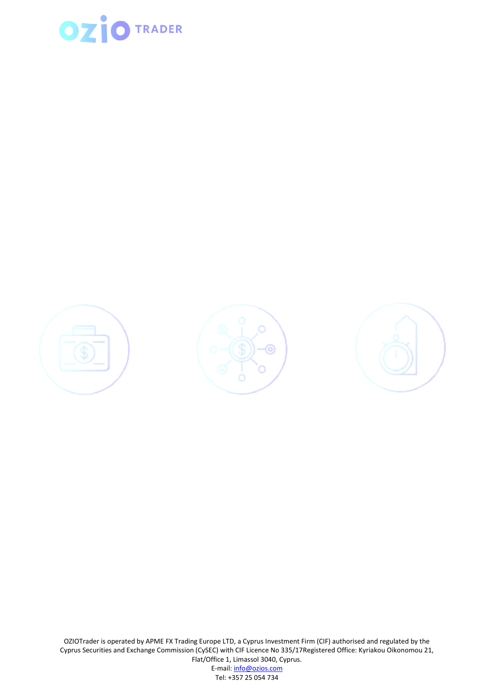



OZIOTrader is operated by APME FX Trading Europe LTD, a Cyprus Investment Firm (CIF) authorised and regulated by the Cyprus Securities and Exchange Commission (CySEC) with CIF Licence No 335/17Registered Office: Kyriakou Oikonomou 21, Flat/Office 1, Limassol 3040, Cyprus.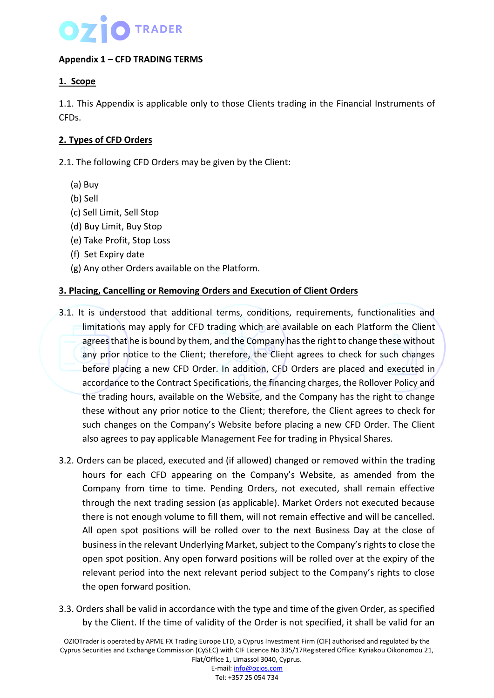

### **Appendix 1 – CFD TRADING TERMS**

### **1. Scope**

1.1. This Appendix is applicable only to those Clients trading in the Financial Instruments of CFDs.

### **2. Types of CFD Orders**

2.1. The following CFD Orders may be given by the Client:

- (a) Buy
- (b) Sell
- (c) Sell Limit, Sell Stop
- (d) Buy Limit, Buy Stop
- (e) Take Profit, Stop Loss
- (f) Set Expiry date
- (g) Any other Orders available on the Platform.

### **3. Placing, Cancelling or Removing Orders and Execution of Client Orders**

- 3.1. It is understood that additional terms, conditions, requirements, functionalities and limitations may apply for CFD trading which are available on each Platform the Client agrees that he is bound by them, and the Company has the right to change these without any prior notice to the Client; therefore, the Client agrees to check for such changes before placing a new CFD Order. In addition, CFD Orders are placed and executed in accordance to the Contract Specifications, the financing charges, the Rollover Policy and the trading hours, available on the Website, and the Company has the right to change these without any prior notice to the Client; therefore, the Client agrees to check for such changes on the Company's Website before placing a new CFD Order. The Client also agrees to pay applicable Management Fee for trading in Physical Shares.
- 3.2. Orders can be placed, executed and (if allowed) changed or removed within the trading hours for each CFD appearing on the Company's Website, as amended from the Company from time to time. Pending Orders, not executed, shall remain effective through the next trading session (as applicable). Market Orders not executed because there is not enough volume to fill them, will not remain effective and will be cancelled. All open spot positions will be rolled over to the next Business Day at the close of business in the relevant Underlying Market, subject to the Company's rights to close the open spot position. Any open forward positions will be rolled over at the expiry of the relevant period into the next relevant period subject to the Company's rights to close the open forward position.
- 3.3. Orders shall be valid in accordance with the type and time of the given Order, as specified by the Client. If the time of validity of the Order is not specified, it shall be valid for an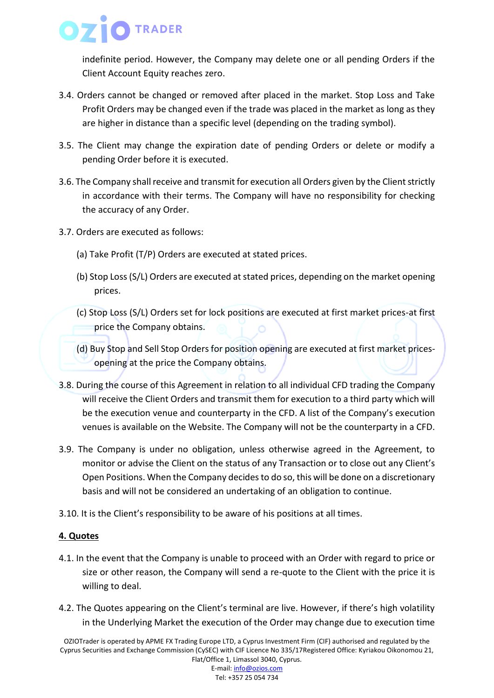indefinite period. However, the Company may delete one or all pending Orders if the Client Account Equity reaches zero.

- 3.4. Orders cannot be changed or removed after placed in the market. Stop Loss and Take Profit Orders may be changed even if the trade was placed in the market as long as they are higher in distance than a specific level (depending on the trading symbol).
- 3.5. The Client may change the expiration date of pending Orders or delete or modify a pending Order before it is executed.
- 3.6. The Company shall receive and transmit for execution all Orders given by the Client strictly in accordance with their terms. The Company will have no responsibility for checking the accuracy of any Order.
- 3.7. Orders are executed as follows:
	- (a) Take Profit (T/P) Orders are executed at stated prices.
	- (b) Stop Loss (S/L) Orders are executed at stated prices, depending on the market opening prices.
	- (c) Stop Loss (S/L) Orders set for lock positions are executed at first market prices-at first price the Company obtains.

(d) Buy Stop and Sell Stop Orders for position opening are executed at first market pricesopening at the price the Company obtains.

- 3.8. During the course of this Agreement in relation to all individual CFD trading the Company will receive the Client Orders and transmit them for execution to a third party which will be the execution venue and counterparty in the CFD. A list of the Company's execution venues is available on the Website. The Company will not be the counterparty in a CFD.
- 3.9. The Company is under no obligation, unless otherwise agreed in the Agreement, to monitor or advise the Client on the status of any Transaction or to close out any Client's Open Positions. When the Company decides to do so, this will be done on a discretionary basis and will not be considered an undertaking of an obligation to continue.
- 3.10. It is the Client's responsibility to be aware of his positions at all times.

### **4. Quotes**

- 4.1. In the event that the Company is unable to proceed with an Order with regard to price or size or other reason, the Company will send a re-quote to the Client with the price it is willing to deal.
- 4.2. The Quotes appearing on the Client's terminal are live. However, if there's high volatility in the Underlying Market the execution of the Order may change due to execution time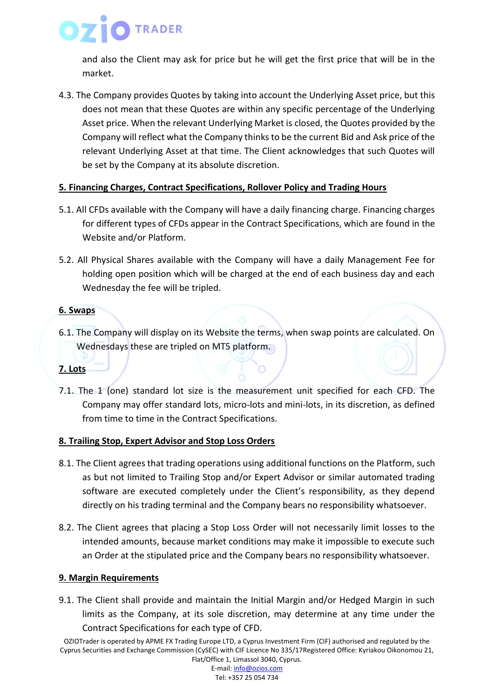## TRADER

and also the Client may ask for price but he will get the first price that will be in the market.

4.3. The Company provides Quotes by taking into account the Underlying Asset price, but this does not mean that these Quotes are within any specific percentage of the Underlying Asset price. When the relevant Underlying Market is closed, the Quotes provided by the Company will reflect what the Company thinks to be the current Bid and Ask price of the relevant Underlying Asset at that time. The Client acknowledges that such Quotes will be set by the Company at its absolute discretion.

### **5. Financing Charges, Contract Specifications, Rollover Policy and Trading Hours**

- 5.1. All CFDs available with the Company will have a daily financing charge. Financing charges for different types of CFDs appear in the Contract Specifications, which are found in the Website and/or Platform.
- 5.2. All Physical Shares available with the Company will have a daily Management Fee for holding open position which will be charged at the end of each business day and each Wednesday the fee will be tripled.

### **6. Swaps**

6.1. The Company will display on its Website the terms, when swap points are calculated. On Wednesdays these are tripled on MT5 platform.

**7. Lots**

7.1. The 1 (one) standard lot size is the measurement unit specified for each CFD. The Company may offer standard lots, micro-lots and mini-lots, in its discretion, as defined from time to time in the Contract Specifications.

### **8. Trailing Stop, Expert Advisor and Stop Loss Orders**

- 8.1. The Client agrees that trading operations using additional functions on the Platform, such as but not limited to Trailing Stop and/or Expert Advisor or similar automated trading software are executed completely under the Client's responsibility, as they depend directly on his trading terminal and the Company bears no responsibility whatsoever.
- 8.2. The Client agrees that placing a Stop Loss Order will not necessarily limit losses to the intended amounts, because market conditions may make it impossible to execute such an Order at the stipulated price and the Company bears no responsibility whatsoever.

### **9. Margin Requirements**

9.1. The Client shall provide and maintain the Initial Margin and/or Hedged Margin in such limits as the Company, at its sole discretion, may determine at any time under the Contract Specifications for each type of CFD.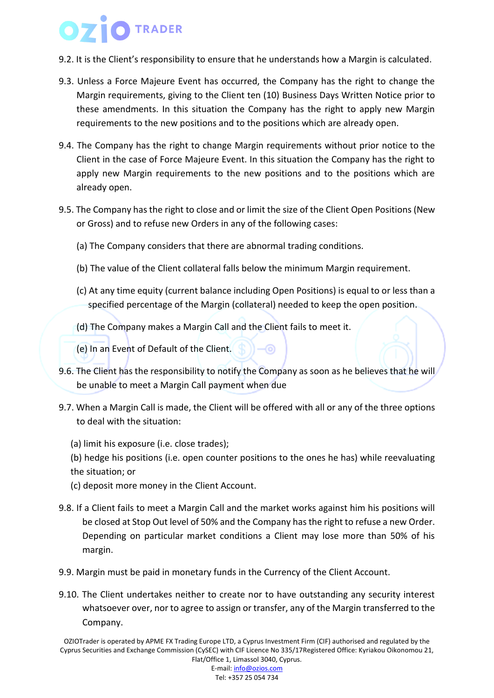- 9.2. It is the Client's responsibility to ensure that he understands how a Margin is calculated.
- 9.3. Unless a Force Majeure Event has occurred, the Company has the right to change the Margin requirements, giving to the Client ten (10) Business Days Written Notice prior to these amendments. In this situation the Company has the right to apply new Margin requirements to the new positions and to the positions which are already open.
- 9.4. The Company has the right to change Margin requirements without prior notice to the Client in the case of Force Majeure Event. In this situation the Company has the right to apply new Margin requirements to the new positions and to the positions which are already open.
- 9.5. The Company has the right to close and or limit the size of the Client Open Positions (New or Gross) and to refuse new Orders in any of the following cases:
	- (a) The Company considers that there are abnormal trading conditions.
	- (b) The value of the Client collateral falls below the minimum Margin requirement.
	- (c) At any time equity (current balance including Open Positions) is equal to or less than a specified percentage of the Margin (collateral) needed to keep the open position.

) —ര

- (d) The Company makes a Margin Call and the Client fails to meet it.
- (e) In an Event of Default of the Client.
- 9.6. The Client has the responsibility to notify the Company as soon as he believes that he will be unable to meet a Margin Call payment when due
- 9.7. When a Margin Call is made, the Client will be offered with all or any of the three options to deal with the situation:
	- (a) limit his exposure (i.e. close trades);
	- (b) hedge his positions (i.e. open counter positions to the ones he has) while reevaluating the situation; or
	- (c) deposit more money in the Client Account.
- 9.8. If a Client fails to meet a Margin Call and the market works against him his positions will be closed at Stop Out level of 50% and the Company has the right to refuse a new Order. Depending on particular market conditions a Client may lose more than 50% of his margin.
- 9.9. Margin must be paid in monetary funds in the Currency of the Client Account.
- 9.10. The Client undertakes neither to create nor to have outstanding any security interest whatsoever over, nor to agree to assign or transfer, any of the Margin transferred to the Company.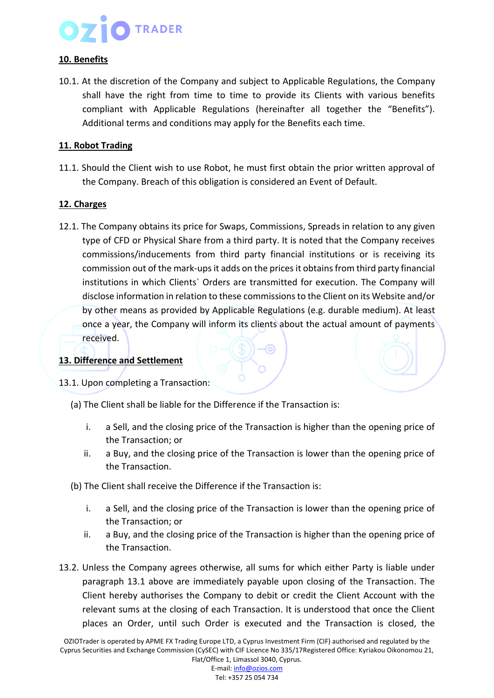#### **10. Benefits**

10.1. At the discretion of the Company and subject to Applicable Regulations, the Company shall have the right from time to time to provide its Clients with various benefits compliant with Applicable Regulations (hereinafter all together the "Benefits"). Additional terms and conditions may apply for the Benefits each time.

#### **11. Robot Trading**

11.1. Should the Client wish to use Robot, he must first obtain the prior written approval of the Company. Breach of this obligation is considered an Event of Default.

#### **12. Charges**

12.1. The Company obtains its price for Swaps, Commissions, Spreads in relation to any given type of CFD or Physical Share from a third party. It is noted that the Company receives commissions/inducements from third party financial institutions or is receiving its commission out of the mark-ups it adds on the prices it obtains from third party financial institutions in which Clients` Orders are transmitted for execution. The Company will disclose information in relation to these commissions to the Client on its Website and/or by other means as provided by Applicable Regulations (e.g. durable medium). At least once a year, the Company will inform its clients about the actual amount of payments received.

### **13. Difference and Settlement**

13.1. Upon completing a Transaction:

- (a) The Client shall be liable for the Difference if the Transaction is:
	- i. a Sell, and the closing price of the Transaction is higher than the opening price of the Transaction; or
	- ii. a Buy, and the closing price of the Transaction is lower than the opening price of the Transaction.
- (b) The Client shall receive the Difference if the Transaction is:
	- i. a Sell, and the closing price of the Transaction is lower than the opening price of the Transaction; or
	- ii. a Buy, and the closing price of the Transaction is higher than the opening price of the Transaction.
- 13.2. Unless the Company agrees otherwise, all sums for which either Party is liable under paragraph 13.1 above are immediately payable upon closing of the Transaction. The Client hereby authorises the Company to debit or credit the Client Account with the relevant sums at the closing of each Transaction. It is understood that once the Client places an Order, until such Order is executed and the Transaction is closed, the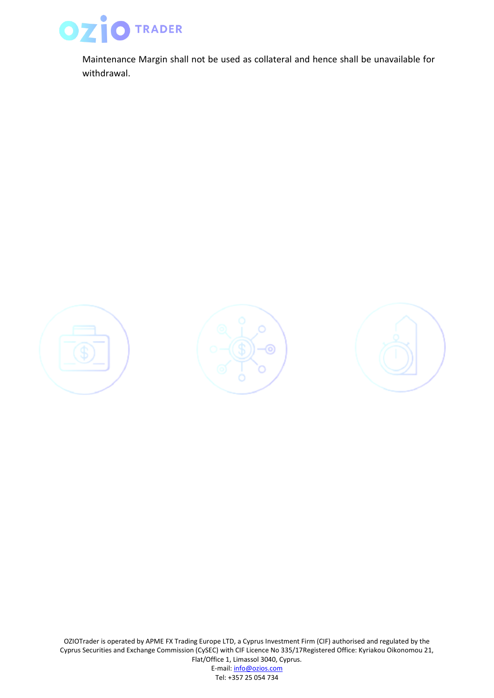

Maintenance Margin shall not be used as collateral and hence shall be unavailable for withdrawal.



OZIOTrader is operated by APME FX Trading Europe LTD, a Cyprus Investment Firm (CIF) authorised and regulated by the Cyprus Securities and Exchange Commission (CySEC) with CIF Licence No 335/17Registered Office: Kyriakou Oikonomou 21, Flat/Office 1, Limassol 3040, Cyprus.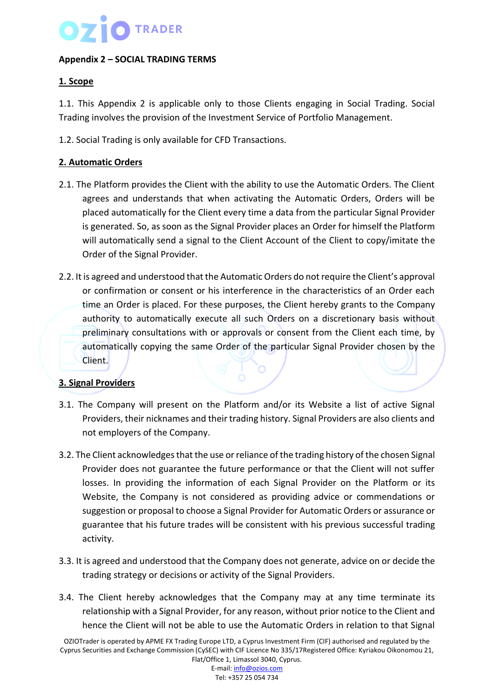### **Appendix 2 – SOCIAL TRADING TERMS**

### **1. Scope**

1.1. This Appendix 2 is applicable only to those Clients engaging in Social Trading. Social Trading involves the provision of the Investment Service of Portfolio Management.

1.2. Social Trading is only available for CFD Transactions.

### **2. Automatic Orders**

- 2.1. The Platform provides the Client with the ability to use the Automatic Orders. The Client agrees and understands that when activating the Automatic Orders, Orders will be placed automatically for the Client every time a data from the particular Signal Provider is generated. So, as soon as the Signal Provider places an Order for himself the Platform will automatically send a signal to the Client Account of the Client to copy/imitate the Order of the Signal Provider.
- 2.2. It is agreed and understood that the Automatic Orders do not require the Client's approval or confirmation or consent or his interference in the characteristics of an Order each time an Order is placed. For these purposes, the Client hereby grants to the Company authority to automatically execute all such Orders on a discretionary basis without preliminary consultations with or approvals or consent from the Client each time, by automatically copying the same Order of the particular Signal Provider chosen by the Client.

### **3. Signal Providers**

- 3.1. The Company will present on the Platform and/or its Website a list of active Signal Providers, their nicknames and their trading history. Signal Providers are also clients and not employers of the Company.
- 3.2. The Client acknowledges that the use or reliance of the trading history of the chosen Signal Provider does not guarantee the future performance or that the Client will not suffer losses. In providing the information of each Signal Provider on the Platform or its Website, the Company is not considered as providing advice or commendations or suggestion or proposal to choose a Signal Provider for Automatic Orders or assurance or guarantee that his future trades will be consistent with his previous successful trading activity.
- 3.3. It is agreed and understood that the Company does not generate, advice on or decide the trading strategy or decisions or activity of the Signal Providers.
- 3.4. The Client hereby acknowledges that the Company may at any time terminate its relationship with a Signal Provider, for any reason, without prior notice to the Client and hence the Client will not be able to use the Automatic Orders in relation to that Signal

OZIOTrader is operated by APME FX Trading Europe LTD, a Cyprus Investment Firm (CIF) authorised and regulated by the Cyprus Securities and Exchange Commission (CySEC) with CIF Licence No 335/17Registered Office: Kyriakou Oikonomou 21, Flat/Office 1, Limassol 3040, Cyprus.